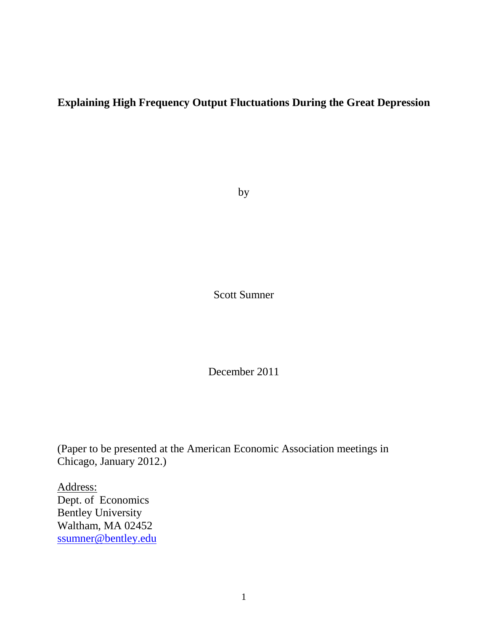# **Explaining High Frequency Output Fluctuations During the Great Depression**

by

Scott Sumner

December 2011

(Paper to be presented at the American Economic Association meetings in Chicago, January 2012.)

Address: Dept. of Economics Bentley University Waltham, MA 02452 [ssumner@bentley.edu](mailto:ssumner@bentley.edu)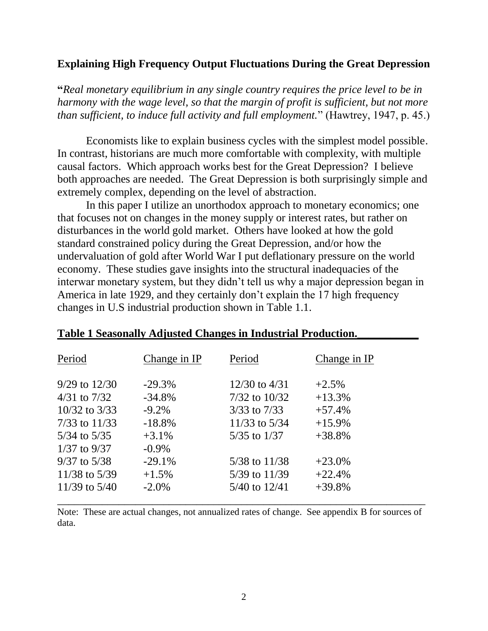#### **Explaining High Frequency Output Fluctuations During the Great Depression**

**"***Real monetary equilibrium in any single country requires the price level to be in harmony with the wage level, so that the margin of profit is sufficient, but not more than sufficient, to induce full activity and full employment.*" (Hawtrey, 1947, p. 45.)

Economists like to explain business cycles with the simplest model possible. In contrast, historians are much more comfortable with complexity, with multiple causal factors. Which approach works best for the Great Depression? I believe both approaches are needed. The Great Depression is both surprisingly simple and extremely complex, depending on the level of abstraction.

In this paper I utilize an unorthodox approach to monetary economics; one that focuses not on changes in the money supply or interest rates, but rather on disturbances in the world gold market. Others have looked at how the gold standard constrained policy during the Great Depression, and/or how the undervaluation of gold after World War I put deflationary pressure on the world economy. These studies gave insights into the structural inadequacies of the interwar monetary system, but they didn"t tell us why a major depression began in America in late 1929, and they certainly don"t explain the 17 high frequency changes in U.S industrial production shown in Table 1.1.

| Period                                                                                                                  | Change in IP                                                         | Period                                                                                              | Change in IP                                            |
|-------------------------------------------------------------------------------------------------------------------------|----------------------------------------------------------------------|-----------------------------------------------------------------------------------------------------|---------------------------------------------------------|
| $9/29$ to $12/30$<br>$4/31$ to $7/32$<br>$10/32$ to $3/33$<br>$7/33$ to $11/33$<br>$5/34$ to $5/35$<br>$1/37$ to $9/37$ | $-29.3%$<br>$-34.8\%$<br>$-9.2\%$<br>$-18.8%$<br>$+3.1%$<br>$-0.9\%$ | $12/30$ to $4/31$<br>$7/32$ to $10/32$<br>$3/33$ to $7/33$<br>$11/33$ to $5/34$<br>$5/35$ to $1/37$ | $+2.5%$<br>$+13.3%$<br>$+57.4%$<br>$+15.9%$<br>$+38.8%$ |
| $9/37$ to $5/38$<br>$11/38$ to 5/39<br>$11/39$ to $5/40$                                                                | $-29.1%$<br>$+1.5%$<br>$-2.0\%$                                      | $5/38$ to $11/38$<br>$5/39$ to $11/39$<br>$5/40$ to $12/41$                                         | $+23.0%$<br>$+22.4%$<br>$+39.8%$                        |

#### **Table 1 Seasonally Adjusted Changes in Industrial Production.\_\_\_\_\_\_\_\_\_\_\_**

Note: These are actual changes, not annualized rates of change. See appendix B for sources of data.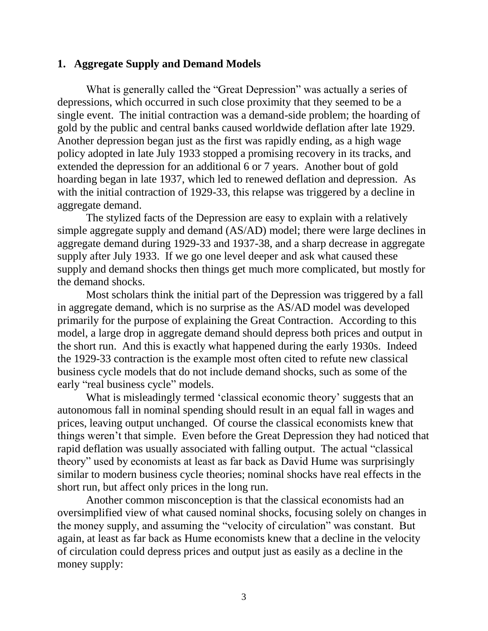#### **1. Aggregate Supply and Demand Models**

What is generally called the "Great Depression" was actually a series of depressions, which occurred in such close proximity that they seemed to be a single event. The initial contraction was a demand-side problem; the hoarding of gold by the public and central banks caused worldwide deflation after late 1929. Another depression began just as the first was rapidly ending, as a high wage policy adopted in late July 1933 stopped a promising recovery in its tracks, and extended the depression for an additional 6 or 7 years. Another bout of gold hoarding began in late 1937, which led to renewed deflation and depression. As with the initial contraction of 1929-33, this relapse was triggered by a decline in aggregate demand.

The stylized facts of the Depression are easy to explain with a relatively simple aggregate supply and demand (AS/AD) model; there were large declines in aggregate demand during 1929-33 and 1937-38, and a sharp decrease in aggregate supply after July 1933. If we go one level deeper and ask what caused these supply and demand shocks then things get much more complicated, but mostly for the demand shocks.

Most scholars think the initial part of the Depression was triggered by a fall in aggregate demand, which is no surprise as the AS/AD model was developed primarily for the purpose of explaining the Great Contraction. According to this model, a large drop in aggregate demand should depress both prices and output in the short run. And this is exactly what happened during the early 1930s. Indeed the 1929-33 contraction is the example most often cited to refute new classical business cycle models that do not include demand shocks, such as some of the early "real business cycle" models.

What is misleadingly termed 'classical economic theory' suggests that an autonomous fall in nominal spending should result in an equal fall in wages and prices, leaving output unchanged. Of course the classical economists knew that things weren"t that simple. Even before the Great Depression they had noticed that rapid deflation was usually associated with falling output. The actual "classical theory" used by economists at least as far back as David Hume was surprisingly similar to modern business cycle theories; nominal shocks have real effects in the short run, but affect only prices in the long run.

Another common misconception is that the classical economists had an oversimplified view of what caused nominal shocks, focusing solely on changes in the money supply, and assuming the "velocity of circulation" was constant. But again, at least as far back as Hume economists knew that a decline in the velocity of circulation could depress prices and output just as easily as a decline in the money supply: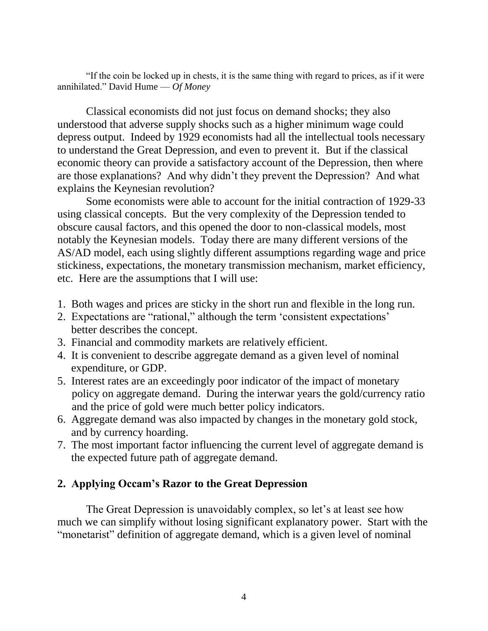"If the coin be locked up in chests, it is the same thing with regard to prices, as if it were annihilated." David Hume — *Of Money*

Classical economists did not just focus on demand shocks; they also understood that adverse supply shocks such as a higher minimum wage could depress output. Indeed by 1929 economists had all the intellectual tools necessary to understand the Great Depression, and even to prevent it. But if the classical economic theory can provide a satisfactory account of the Depression, then where are those explanations? And why didn"t they prevent the Depression? And what explains the Keynesian revolution?

Some economists were able to account for the initial contraction of 1929-33 using classical concepts. But the very complexity of the Depression tended to obscure causal factors, and this opened the door to non-classical models, most notably the Keynesian models. Today there are many different versions of the AS/AD model, each using slightly different assumptions regarding wage and price stickiness, expectations, the monetary transmission mechanism, market efficiency, etc. Here are the assumptions that I will use:

- 1. Both wages and prices are sticky in the short run and flexible in the long run.
- 2. Expectations are "rational," although the term "consistent expectations" better describes the concept.
- 3. Financial and commodity markets are relatively efficient.
- 4. It is convenient to describe aggregate demand as a given level of nominal expenditure, or GDP.
- 5. Interest rates are an exceedingly poor indicator of the impact of monetary policy on aggregate demand. During the interwar years the gold/currency ratio and the price of gold were much better policy indicators.
- 6. Aggregate demand was also impacted by changes in the monetary gold stock, and by currency hoarding.
- 7. The most important factor influencing the current level of aggregate demand is the expected future path of aggregate demand.

# **2. Applying Occam's Razor to the Great Depression**

The Great Depression is unavoidably complex, so let's at least see how much we can simplify without losing significant explanatory power. Start with the "monetarist" definition of aggregate demand, which is a given level of nominal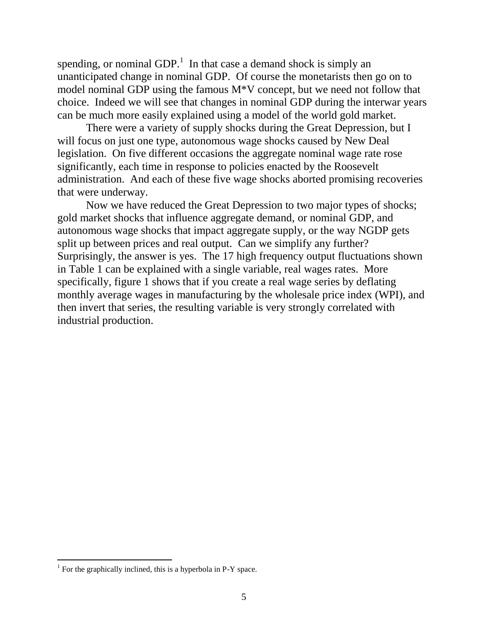spending, or nominal GDP.<sup>1</sup> In that case a demand shock is simply an unanticipated change in nominal GDP. Of course the monetarists then go on to model nominal GDP using the famous M\*V concept, but we need not follow that choice. Indeed we will see that changes in nominal GDP during the interwar years can be much more easily explained using a model of the world gold market.

There were a variety of supply shocks during the Great Depression, but I will focus on just one type, autonomous wage shocks caused by New Deal legislation. On five different occasions the aggregate nominal wage rate rose significantly, each time in response to policies enacted by the Roosevelt administration. And each of these five wage shocks aborted promising recoveries that were underway.

Now we have reduced the Great Depression to two major types of shocks; gold market shocks that influence aggregate demand, or nominal GDP, and autonomous wage shocks that impact aggregate supply, or the way NGDP gets split up between prices and real output. Can we simplify any further? Surprisingly, the answer is yes. The 17 high frequency output fluctuations shown in Table 1 can be explained with a single variable, real wages rates. More specifically, figure 1 shows that if you create a real wage series by deflating monthly average wages in manufacturing by the wholesale price index (WPI), and then invert that series, the resulting variable is very strongly correlated with industrial production.

 $<sup>1</sup>$  For the graphically inclined, this is a hyperbola in P-Y space.</sup>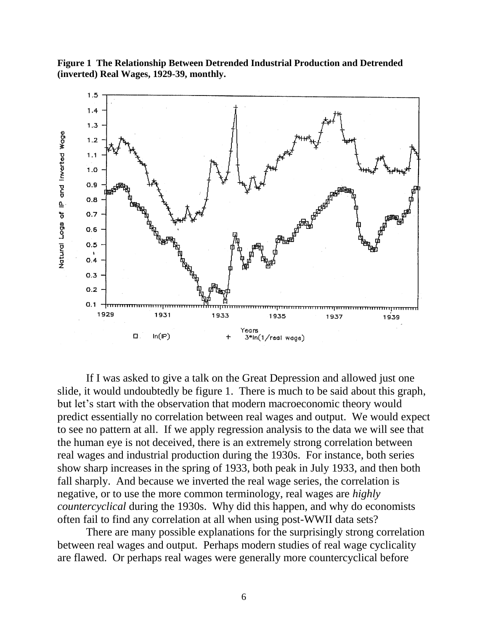**Figure 1 The Relationship Between Detrended Industrial Production and Detrended (inverted) Real Wages, 1929-39, monthly.**



If I was asked to give a talk on the Great Depression and allowed just one slide, it would undoubtedly be figure 1. There is much to be said about this graph, but let's start with the observation that modern macroeconomic theory would predict essentially no correlation between real wages and output. We would expect to see no pattern at all. If we apply regression analysis to the data we will see that the human eye is not deceived, there is an extremely strong correlation between real wages and industrial production during the 1930s. For instance, both series show sharp increases in the spring of 1933, both peak in July 1933, and then both fall sharply. And because we inverted the real wage series, the correlation is negative, or to use the more common terminology, real wages are *highly countercyclical* during the 1930s. Why did this happen, and why do economists often fail to find any correlation at all when using post-WWII data sets?

There are many possible explanations for the surprisingly strong correlation between real wages and output. Perhaps modern studies of real wage cyclicality are flawed. Or perhaps real wages were generally more countercyclical before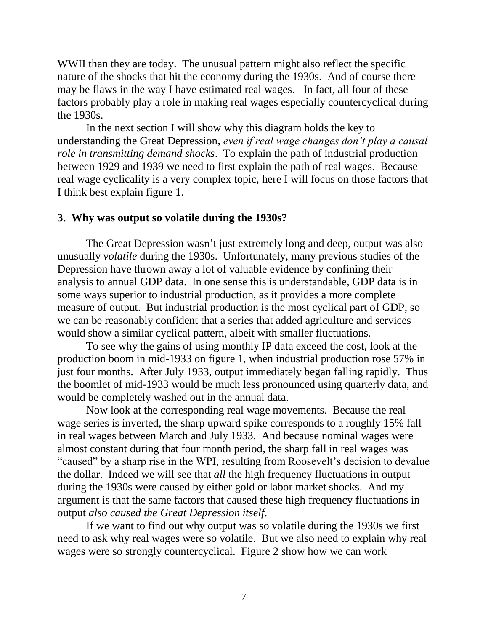WWII than they are today. The unusual pattern might also reflect the specific nature of the shocks that hit the economy during the 1930s. And of course there may be flaws in the way I have estimated real wages. In fact, all four of these factors probably play a role in making real wages especially countercyclical during the 1930s.

In the next section I will show why this diagram holds the key to understanding the Great Depression, *even if real wage changes don't play a causal role in transmitting demand shocks*. To explain the path of industrial production between 1929 and 1939 we need to first explain the path of real wages. Because real wage cyclicality is a very complex topic, here I will focus on those factors that I think best explain figure 1.

### **3. Why was output so volatile during the 1930s?**

The Great Depression wasn"t just extremely long and deep, output was also unusually *volatile* during the 1930s. Unfortunately, many previous studies of the Depression have thrown away a lot of valuable evidence by confining their analysis to annual GDP data. In one sense this is understandable, GDP data is in some ways superior to industrial production, as it provides a more complete measure of output. But industrial production is the most cyclical part of GDP, so we can be reasonably confident that a series that added agriculture and services would show a similar cyclical pattern, albeit with smaller fluctuations.

To see why the gains of using monthly IP data exceed the cost, look at the production boom in mid-1933 on figure 1, when industrial production rose 57% in just four months. After July 1933, output immediately began falling rapidly. Thus the boomlet of mid-1933 would be much less pronounced using quarterly data, and would be completely washed out in the annual data.

Now look at the corresponding real wage movements. Because the real wage series is inverted, the sharp upward spike corresponds to a roughly 15% fall in real wages between March and July 1933. And because nominal wages were almost constant during that four month period, the sharp fall in real wages was "caused" by a sharp rise in the WPI, resulting from Roosevelt's decision to devalue the dollar. Indeed we will see that *all* the high frequency fluctuations in output during the 1930s were caused by either gold or labor market shocks. And my argument is that the same factors that caused these high frequency fluctuations in output *also caused the Great Depression itself*.

If we want to find out why output was so volatile during the 1930s we first need to ask why real wages were so volatile. But we also need to explain why real wages were so strongly countercyclical. Figure 2 show how we can work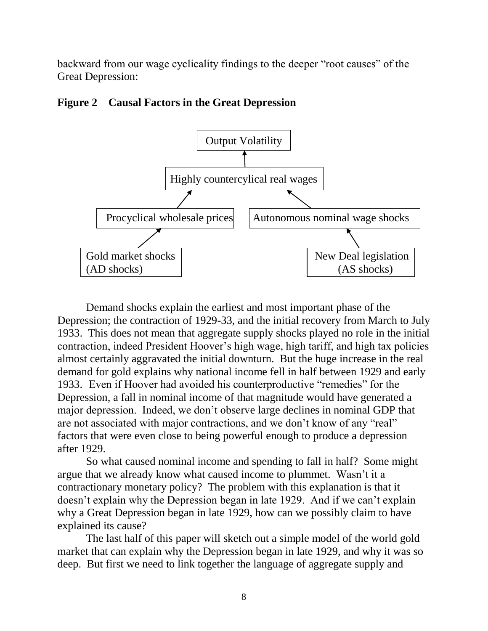backward from our wage cyclicality findings to the deeper "root causes" of the Great Depression:

# **Figure 2 Causal Factors in the Great Depression**



Demand shocks explain the earliest and most important phase of the Depression; the contraction of 1929-33, and the initial recovery from March to July 1933. This does not mean that aggregate supply shocks played no role in the initial contraction, indeed President Hoover"s high wage, high tariff, and high tax policies almost certainly aggravated the initial downturn. But the huge increase in the real demand for gold explains why national income fell in half between 1929 and early 1933. Even if Hoover had avoided his counterproductive "remedies" for the Depression, a fall in nominal income of that magnitude would have generated a major depression. Indeed, we don"t observe large declines in nominal GDP that are not associated with major contractions, and we don"t know of any "real" factors that were even close to being powerful enough to produce a depression after 1929.

So what caused nominal income and spending to fall in half? Some might argue that we already know what caused income to plummet. Wasn"t it a contractionary monetary policy? The problem with this explanation is that it doesn"t explain why the Depression began in late 1929. And if we can"t explain why a Great Depression began in late 1929, how can we possibly claim to have explained its cause?

The last half of this paper will sketch out a simple model of the world gold market that can explain why the Depression began in late 1929, and why it was so deep. But first we need to link together the language of aggregate supply and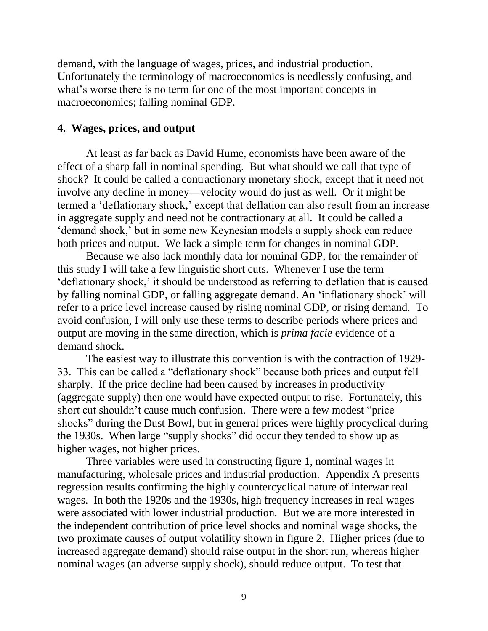demand, with the language of wages, prices, and industrial production. Unfortunately the terminology of macroeconomics is needlessly confusing, and what's worse there is no term for one of the most important concepts in macroeconomics; falling nominal GDP.

#### **4. Wages, prices, and output**

At least as far back as David Hume, economists have been aware of the effect of a sharp fall in nominal spending. But what should we call that type of shock? It could be called a contractionary monetary shock, except that it need not involve any decline in money—velocity would do just as well. Or it might be termed a 'deflationary shock,' except that deflation can also result from an increase in aggregate supply and need not be contractionary at all. It could be called a "demand shock," but in some new Keynesian models a supply shock can reduce both prices and output. We lack a simple term for changes in nominal GDP.

Because we also lack monthly data for nominal GDP, for the remainder of this study I will take a few linguistic short cuts. Whenever I use the term "deflationary shock," it should be understood as referring to deflation that is caused by falling nominal GDP, or falling aggregate demand. An "inflationary shock" will refer to a price level increase caused by rising nominal GDP, or rising demand. To avoid confusion, I will only use these terms to describe periods where prices and output are moving in the same direction, which is *prima facie* evidence of a demand shock.

The easiest way to illustrate this convention is with the contraction of 1929- 33. This can be called a "deflationary shock" because both prices and output fell sharply. If the price decline had been caused by increases in productivity (aggregate supply) then one would have expected output to rise. Fortunately, this short cut shouldn"t cause much confusion. There were a few modest "price shocks" during the Dust Bowl, but in general prices were highly procyclical during the 1930s. When large "supply shocks" did occur they tended to show up as higher wages, not higher prices.

Three variables were used in constructing figure 1, nominal wages in manufacturing, wholesale prices and industrial production. Appendix A presents regression results confirming the highly countercyclical nature of interwar real wages. In both the 1920s and the 1930s, high frequency increases in real wages were associated with lower industrial production. But we are more interested in the independent contribution of price level shocks and nominal wage shocks, the two proximate causes of output volatility shown in figure 2. Higher prices (due to increased aggregate demand) should raise output in the short run, whereas higher nominal wages (an adverse supply shock), should reduce output. To test that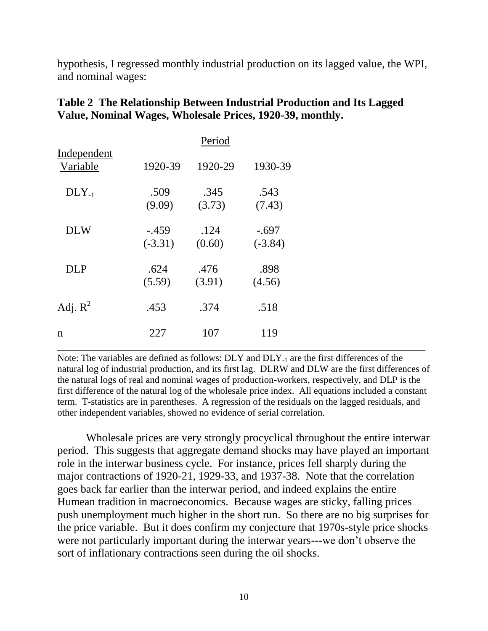hypothesis, I regressed monthly industrial production on its lagged value, the WPI, and nominal wages:

|                         |                      | Period         |                      |  |  |
|-------------------------|----------------------|----------------|----------------------|--|--|
| Independent<br>Variable | 1920-39              | 1920-29        | 1930-39              |  |  |
| $DLY_{-1}$              | .509<br>(9.09)       | .345<br>(3.73) | .543<br>(7.43)       |  |  |
| <b>DLW</b>              | $-.459$<br>$(-3.31)$ | .124<br>(0.60) | $-.697$<br>$(-3.84)$ |  |  |
| <b>DLP</b>              | .624<br>(5.59)       | .476<br>(3.91) | .898<br>(4.56)       |  |  |
| Adj. $R^2$              | .453                 | .374           | .518                 |  |  |
| $\mathbf n$             | 227                  | 107            | 119                  |  |  |

# **Table 2 The Relationship Between Industrial Production and Its Lagged Value, Nominal Wages, Wholesale Prices, 1920-39, monthly.**

Note: The variables are defined as follows: DLY and DLY-1 are the first differences of the natural log of industrial production, and its first lag. DLRW and DLW are the first differences of the natural logs of real and nominal wages of production-workers, respectively, and DLP is the first difference of the natural log of the wholesale price index. All equations included a constant term. T-statistics are in parentheses. A regression of the residuals on the lagged residuals, and other independent variables, showed no evidence of serial correlation.

Wholesale prices are very strongly procyclical throughout the entire interwar period. This suggests that aggregate demand shocks may have played an important role in the interwar business cycle. For instance, prices fell sharply during the major contractions of 1920-21, 1929-33, and 1937-38. Note that the correlation goes back far earlier than the interwar period, and indeed explains the entire Humean tradition in macroeconomics. Because wages are sticky, falling prices push unemployment much higher in the short run. So there are no big surprises for the price variable. But it does confirm my conjecture that 1970s-style price shocks were not particularly important during the interwar years---we don"t observe the sort of inflationary contractions seen during the oil shocks.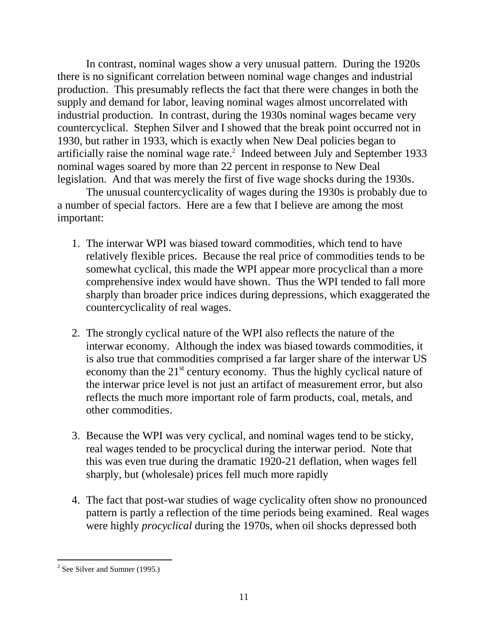In contrast, nominal wages show a very unusual pattern. During the 1920s there is no significant correlation between nominal wage changes and industrial production. This presumably reflects the fact that there were changes in both the supply and demand for labor, leaving nominal wages almost uncorrelated with industrial production. In contrast, during the 1930s nominal wages became very countercyclical. Stephen Silver and I showed that the break point occurred not in 1930, but rather in 1933, which is exactly when New Deal policies began to artificially raise the nominal wage rate. $2$  Indeed between July and September 1933 nominal wages soared by more than 22 percent in response to New Deal legislation. And that was merely the first of five wage shocks during the 1930s.

The unusual countercyclicality of wages during the 1930s is probably due to a number of special factors. Here are a few that I believe are among the most important:

- 1. The interwar WPI was biased toward commodities, which tend to have relatively flexible prices. Because the real price of commodities tends to be somewhat cyclical, this made the WPI appear more procyclical than a more comprehensive index would have shown. Thus the WPI tended to fall more sharply than broader price indices during depressions, which exaggerated the countercyclicality of real wages.
- 2. The strongly cyclical nature of the WPI also reflects the nature of the interwar economy. Although the index was biased towards commodities, it is also true that commodities comprised a far larger share of the interwar US economy than the  $21<sup>st</sup>$  century economy. Thus the highly cyclical nature of the interwar price level is not just an artifact of measurement error, but also reflects the much more important role of farm products, coal, metals, and other commodities.
- 3. Because the WPI was very cyclical, and nominal wages tend to be sticky, real wages tended to be procyclical during the interwar period. Note that this was even true during the dramatic 1920-21 deflation, when wages fell sharply, but (wholesale) prices fell much more rapidly
- 4. The fact that post-war studies of wage cyclicality often show no pronounced pattern is partly a reflection of the time periods being examined. Real wages were highly *procyclical* during the 1970s, when oil shocks depressed both

 $\overline{a}$  $2^2$  See Silver and Sumner (1995.)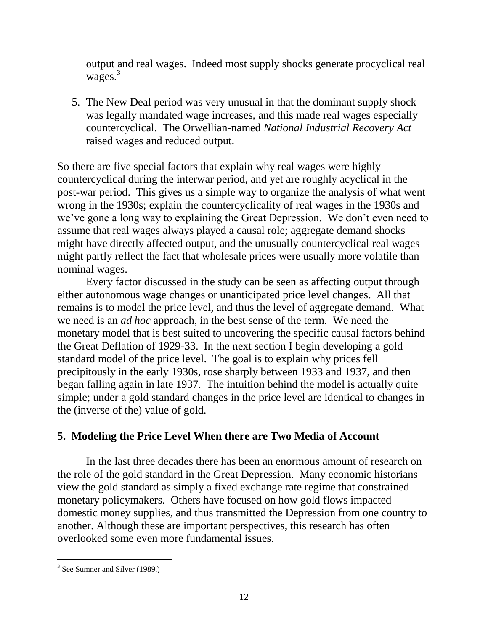output and real wages. Indeed most supply shocks generate procyclical real wages.<sup>3</sup>

5. The New Deal period was very unusual in that the dominant supply shock was legally mandated wage increases, and this made real wages especially countercyclical. The Orwellian-named *National Industrial Recovery Act* raised wages and reduced output.

So there are five special factors that explain why real wages were highly countercyclical during the interwar period, and yet are roughly acyclical in the post-war period. This gives us a simple way to organize the analysis of what went wrong in the 1930s; explain the countercyclicality of real wages in the 1930s and we"ve gone a long way to explaining the Great Depression. We don"t even need to assume that real wages always played a causal role; aggregate demand shocks might have directly affected output, and the unusually countercyclical real wages might partly reflect the fact that wholesale prices were usually more volatile than nominal wages.

Every factor discussed in the study can be seen as affecting output through either autonomous wage changes or unanticipated price level changes. All that remains is to model the price level, and thus the level of aggregate demand. What we need is an *ad hoc* approach, in the best sense of the term. We need the monetary model that is best suited to uncovering the specific causal factors behind the Great Deflation of 1929-33. In the next section I begin developing a gold standard model of the price level. The goal is to explain why prices fell precipitously in the early 1930s, rose sharply between 1933 and 1937, and then began falling again in late 1937. The intuition behind the model is actually quite simple; under a gold standard changes in the price level are identical to changes in the (inverse of the) value of gold.

# **5. Modeling the Price Level When there are Two Media of Account**

In the last three decades there has been an enormous amount of research on the role of the gold standard in the Great Depression. Many economic historians view the gold standard as simply a fixed exchange rate regime that constrained monetary policymakers. Others have focused on how gold flows impacted domestic money supplies, and thus transmitted the Depression from one country to another. Although these are important perspectives, this research has often overlooked some even more fundamental issues.

<sup>&</sup>lt;sup>3</sup> See Sumner and Silver (1989.)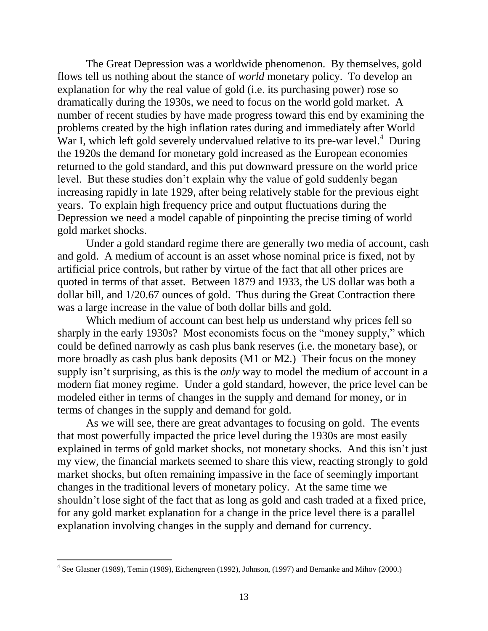The Great Depression was a worldwide phenomenon. By themselves, gold flows tell us nothing about the stance of *world* monetary policy. To develop an explanation for why the real value of gold (i.e. its purchasing power) rose so dramatically during the 1930s, we need to focus on the world gold market. A number of recent studies by have made progress toward this end by examining the problems created by the high inflation rates during and immediately after World War I, which left gold severely undervalued relative to its pre-war level.<sup>4</sup> During the 1920s the demand for monetary gold increased as the European economies returned to the gold standard, and this put downward pressure on the world price level. But these studies don"t explain why the value of gold suddenly began increasing rapidly in late 1929, after being relatively stable for the previous eight years. To explain high frequency price and output fluctuations during the Depression we need a model capable of pinpointing the precise timing of world gold market shocks.

Under a gold standard regime there are generally two media of account, cash and gold. A medium of account is an asset whose nominal price is fixed, not by artificial price controls, but rather by virtue of the fact that all other prices are quoted in terms of that asset. Between 1879 and 1933, the US dollar was both a dollar bill, and 1/20.67 ounces of gold. Thus during the Great Contraction there was a large increase in the value of both dollar bills and gold.

Which medium of account can best help us understand why prices fell so sharply in the early 1930s? Most economists focus on the "money supply," which could be defined narrowly as cash plus bank reserves (i.e. the monetary base), or more broadly as cash plus bank deposits (M1 or M2.) Their focus on the money supply isn't surprising, as this is the *only* way to model the medium of account in a modern fiat money regime. Under a gold standard, however, the price level can be modeled either in terms of changes in the supply and demand for money, or in terms of changes in the supply and demand for gold.

As we will see, there are great advantages to focusing on gold. The events that most powerfully impacted the price level during the 1930s are most easily explained in terms of gold market shocks, not monetary shocks. And this isn"t just my view, the financial markets seemed to share this view, reacting strongly to gold market shocks, but often remaining impassive in the face of seemingly important changes in the traditional levers of monetary policy. At the same time we shouldn"t lose sight of the fact that as long as gold and cash traded at a fixed price, for any gold market explanation for a change in the price level there is a parallel explanation involving changes in the supply and demand for currency.

<sup>&</sup>lt;sup>4</sup> See Glasner (1989), Temin (1989), Eichengreen (1992), Johnson, (1997) and Bernanke and Mihov (2000.)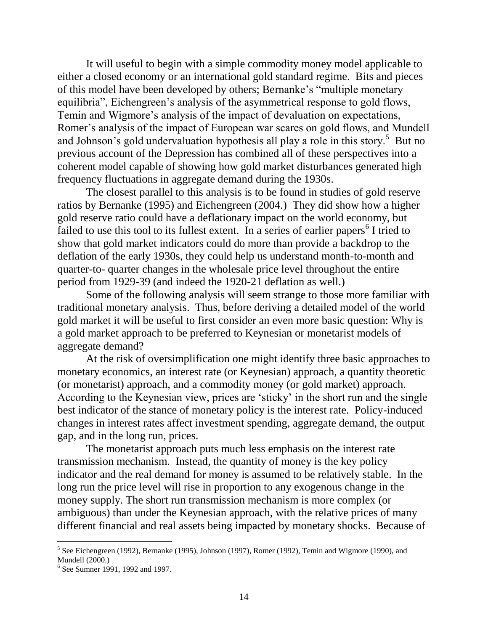It will useful to begin with a simple commodity money model applicable to either a closed economy or an international gold standard regime. Bits and pieces of this model have been developed by others; Bernanke"s "multiple monetary equilibria", Eichengreen's analysis of the asymmetrical response to gold flows, Temin and Wigmore"s analysis of the impact of devaluation on expectations, Romer"s analysis of the impact of European war scares on gold flows, and Mundell and Johnson's gold undervaluation hypothesis all play a role in this story.<sup>5</sup> But no previous account of the Depression has combined all of these perspectives into a coherent model capable of showing how gold market disturbances generated high frequency fluctuations in aggregate demand during the 1930s.

The closest parallel to this analysis is to be found in studies of gold reserve ratios by Bernanke (1995) and Eichengreen (2004.) They did show how a higher gold reserve ratio could have a deflationary impact on the world economy, but failed to use this tool to its fullest extent. In a series of earlier papers<sup>6</sup> I tried to show that gold market indicators could do more than provide a backdrop to the deflation of the early 1930s, they could help us understand month-to-month and quarter-to- quarter changes in the wholesale price level throughout the entire period from 1929-39 (and indeed the 1920-21 deflation as well.)

Some of the following analysis will seem strange to those more familiar with traditional monetary analysis. Thus, before deriving a detailed model of the world gold market it will be useful to first consider an even more basic question: Why is a gold market approach to be preferred to Keynesian or monetarist models of aggregate demand?

At the risk of oversimplification one might identify three basic approaches to monetary economics, an interest rate (or Keynesian) approach, a quantity theoretic (or monetarist) approach, and a commodity money (or gold market) approach. According to the Keynesian view, prices are "sticky" in the short run and the single best indicator of the stance of monetary policy is the interest rate. Policy-induced changes in interest rates affect investment spending, aggregate demand, the output gap, and in the long run, prices.

The monetarist approach puts much less emphasis on the interest rate transmission mechanism. Instead, the quantity of money is the key policy indicator and the real demand for money is assumed to be relatively stable. In the long run the price level will rise in proportion to any exogenous change in the money supply. The short run transmission mechanism is more complex (or ambiguous) than under the Keynesian approach, with the relative prices of many different financial and real assets being impacted by monetary shocks. Because of

<sup>&</sup>lt;sup>5</sup> See Eichengreen (1992), Bernanke (1995), Johnson (1997), Romer (1992), Temin and Wigmore (1990), and Mundell (2000.)

<sup>6</sup> See Sumner 1991, 1992 and 1997.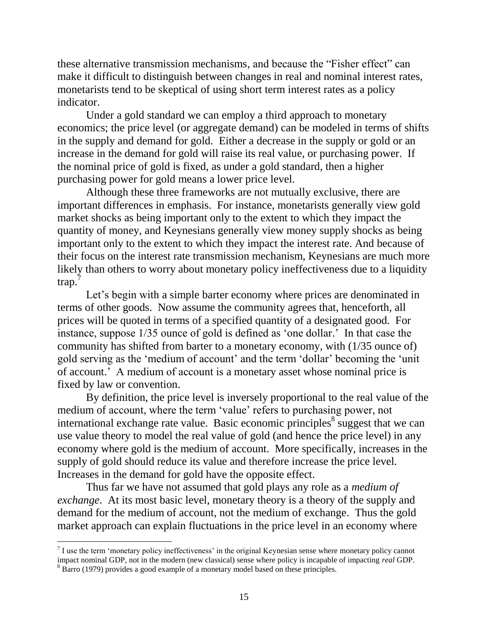these alternative transmission mechanisms, and because the "Fisher effect" can make it difficult to distinguish between changes in real and nominal interest rates, monetarists tend to be skeptical of using short term interest rates as a policy indicator.

Under a gold standard we can employ a third approach to monetary economics; the price level (or aggregate demand) can be modeled in terms of shifts in the supply and demand for gold. Either a decrease in the supply or gold or an increase in the demand for gold will raise its real value, or purchasing power. If the nominal price of gold is fixed, as under a gold standard, then a higher purchasing power for gold means a lower price level.

Although these three frameworks are not mutually exclusive, there are important differences in emphasis. For instance, monetarists generally view gold market shocks as being important only to the extent to which they impact the quantity of money, and Keynesians generally view money supply shocks as being important only to the extent to which they impact the interest rate. And because of their focus on the interest rate transmission mechanism, Keynesians are much more likely than others to worry about monetary policy ineffectiveness due to a liquidity trap.

Let's begin with a simple barter economy where prices are denominated in terms of other goods. Now assume the community agrees that, henceforth, all prices will be quoted in terms of a specified quantity of a designated good. For instance, suppose 1/35 ounce of gold is defined as "one dollar." In that case the community has shifted from barter to a monetary economy, with (1/35 ounce of) gold serving as the "medium of account" and the term "dollar" becoming the "unit of account." A medium of account is a monetary asset whose nominal price is fixed by law or convention.

By definition, the price level is inversely proportional to the real value of the medium of account, where the term "value" refers to purchasing power, not international exchange rate value. Basic economic principles  $\overline{s}$  suggest that we can use value theory to model the real value of gold (and hence the price level) in any economy where gold is the medium of account. More specifically, increases in the supply of gold should reduce its value and therefore increase the price level. Increases in the demand for gold have the opposite effect.

Thus far we have not assumed that gold plays any role as a *medium of exchange*. At its most basic level, monetary theory is a theory of the supply and demand for the medium of account, not the medium of exchange. Thus the gold market approach can explain fluctuations in the price level in an economy where

 $<sup>7</sup>$  I use the term 'monetary policy ineffectiveness' in the original Keynesian sense where monetary policy cannot</sup> impact nominal GDP, not in the modern (new classical) sense where policy is incapable of impacting *real* GDP.

<sup>&</sup>lt;sup>8</sup> Barro (1979) provides a good example of a monetary model based on these principles.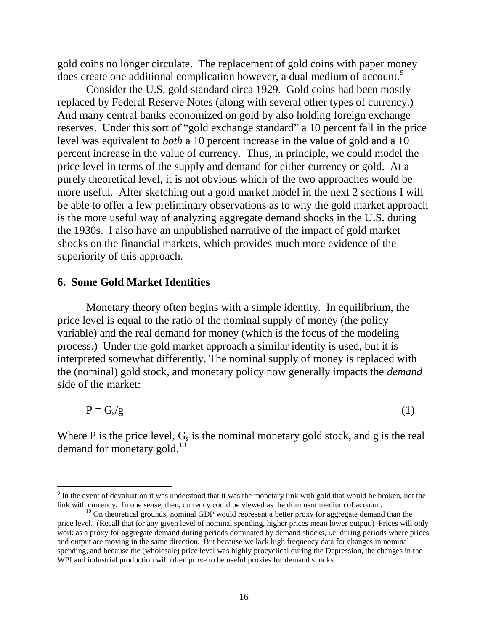gold coins no longer circulate. The replacement of gold coins with paper money does create one additional complication however, a dual medium of account.<sup>9</sup>

Consider the U.S. gold standard circa 1929. Gold coins had been mostly replaced by Federal Reserve Notes (along with several other types of currency.) And many central banks economized on gold by also holding foreign exchange reserves. Under this sort of "gold exchange standard" a 10 percent fall in the price level was equivalent to *both* a 10 percent increase in the value of gold and a 10 percent increase in the value of currency. Thus, in principle, we could model the price level in terms of the supply and demand for either currency or gold. At a purely theoretical level, it is not obvious which of the two approaches would be more useful. After sketching out a gold market model in the next 2 sections I will be able to offer a few preliminary observations as to why the gold market approach is the more useful way of analyzing aggregate demand shocks in the U.S. during the 1930s. I also have an unpublished narrative of the impact of gold market shocks on the financial markets, which provides much more evidence of the superiority of this approach.

#### **6. Some Gold Market Identities**

 $\overline{a}$ 

Monetary theory often begins with a simple identity. In equilibrium, the price level is equal to the ratio of the nominal supply of money (the policy variable) and the real demand for money (which is the focus of the modeling process.) Under the gold market approach a similar identity is used, but it is interpreted somewhat differently. The nominal supply of money is replaced with the (nominal) gold stock, and monetary policy now generally impacts the *demand* side of the market:

$$
P = G_s/g \tag{1}
$$

Where P is the price level,  $G_s$  is the nominal monetary gold stock, and g is the real demand for monetary gold.<sup>10</sup>

 $9<sup>9</sup>$  In the event of devaluation it was understood that it was the monetary link with gold that would be broken, not the link with currency. In one sense, then, currency could be viewed as the dominant medium of account.

 $10$  On theoretical grounds, nominal GDP would represent a better proxy for aggregate demand than the price level. (Recall that for any given level of nominal spending, higher prices mean lower output.) Prices will only work as a proxy for aggregate demand during periods dominated by demand shocks, i.e. during periods where prices and output are moving in the same direction. But because we lack high frequency data for changes in nominal spending, and because the (wholesale) price level was highly procyclical during the Depression, the changes in the WPI and industrial production will often prove to be useful proxies for demand shocks.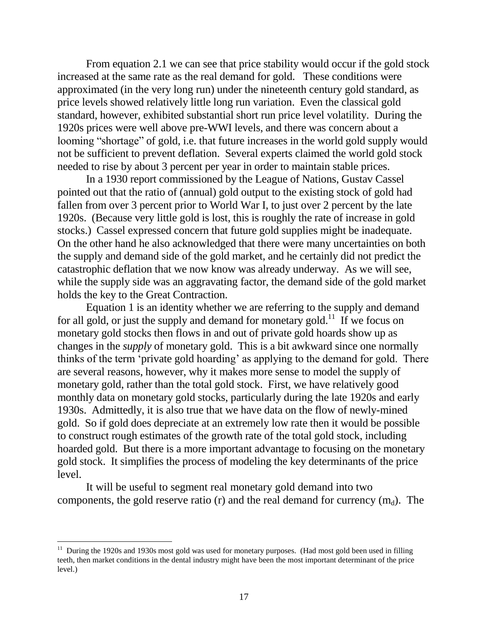From equation 2.1 we can see that price stability would occur if the gold stock increased at the same rate as the real demand for gold. These conditions were approximated (in the very long run) under the nineteenth century gold standard, as price levels showed relatively little long run variation. Even the classical gold standard, however, exhibited substantial short run price level volatility. During the 1920s prices were well above pre-WWI levels, and there was concern about a looming "shortage" of gold, i.e. that future increases in the world gold supply would not be sufficient to prevent deflation. Several experts claimed the world gold stock needed to rise by about 3 percent per year in order to maintain stable prices.

In a 1930 report commissioned by the League of Nations, Gustav Cassel pointed out that the ratio of (annual) gold output to the existing stock of gold had fallen from over 3 percent prior to World War I, to just over 2 percent by the late 1920s. (Because very little gold is lost, this is roughly the rate of increase in gold stocks.) Cassel expressed concern that future gold supplies might be inadequate. On the other hand he also acknowledged that there were many uncertainties on both the supply and demand side of the gold market, and he certainly did not predict the catastrophic deflation that we now know was already underway. As we will see, while the supply side was an aggravating factor, the demand side of the gold market holds the key to the Great Contraction.

Equation 1 is an identity whether we are referring to the supply and demand for all gold, or just the supply and demand for monetary gold.<sup>11</sup> If we focus on monetary gold stocks then flows in and out of private gold hoards show up as changes in the *supply* of monetary gold. This is a bit awkward since one normally thinks of the term "private gold hoarding" as applying to the demand for gold. There are several reasons, however, why it makes more sense to model the supply of monetary gold, rather than the total gold stock. First, we have relatively good monthly data on monetary gold stocks, particularly during the late 1920s and early 1930s. Admittedly, it is also true that we have data on the flow of newly-mined gold. So if gold does depreciate at an extremely low rate then it would be possible to construct rough estimates of the growth rate of the total gold stock, including hoarded gold. But there is a more important advantage to focusing on the monetary gold stock. It simplifies the process of modeling the key determinants of the price level.

It will be useful to segment real monetary gold demand into two components, the gold reserve ratio (r) and the real demand for currency  $(m_d)$ . The

<sup>&</sup>lt;sup>11</sup> During the 1920s and 1930s most gold was used for monetary purposes. (Had most gold been used in filling teeth, then market conditions in the dental industry might have been the most important determinant of the price level.)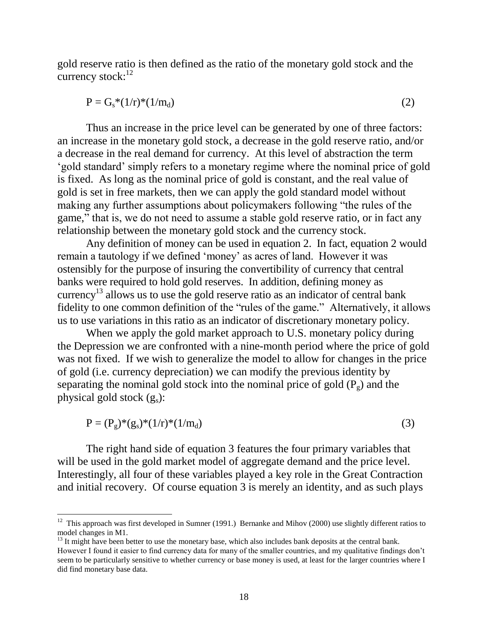gold reserve ratio is then defined as the ratio of the monetary gold stock and the currency stock:<sup>12</sup>

$$
P = G_s^*(1/r)^*(1/m_d) \tag{2}
$$

Thus an increase in the price level can be generated by one of three factors: an increase in the monetary gold stock, a decrease in the gold reserve ratio, and/or a decrease in the real demand for currency. At this level of abstraction the term "gold standard" simply refers to a monetary regime where the nominal price of gold is fixed. As long as the nominal price of gold is constant, and the real value of gold is set in free markets, then we can apply the gold standard model without making any further assumptions about policymakers following "the rules of the game," that is, we do not need to assume a stable gold reserve ratio, or in fact any relationship between the monetary gold stock and the currency stock.

Any definition of money can be used in equation 2. In fact, equation 2 would remain a tautology if we defined "money" as acres of land. However it was ostensibly for the purpose of insuring the convertibility of currency that central banks were required to hold gold reserves. In addition, defining money as currency <sup>13</sup> allows us to use the gold reserve ratio as an indicator of central bank fidelity to one common definition of the "rules of the game." Alternatively, it allows us to use variations in this ratio as an indicator of discretionary monetary policy.

When we apply the gold market approach to U.S. monetary policy during the Depression we are confronted with a nine-month period where the price of gold was not fixed. If we wish to generalize the model to allow for changes in the price of gold (i.e. currency depreciation) we can modify the previous identity by separating the nominal gold stock into the nominal price of gold  $(P<sub>g</sub>)$  and the physical gold stock  $(g_s)$ :

$$
P = (P_g)^*(g_s)^*(1/r)^*(1/m_d)
$$
\n(3)

The right hand side of equation 3 features the four primary variables that will be used in the gold market model of aggregate demand and the price level. Interestingly, all four of these variables played a key role in the Great Contraction and initial recovery. Of course equation 3 is merely an identity, and as such plays

 $12$  This approach was first developed in Sumner (1991.) Bernanke and Mihov (2000) use slightly different ratios to model changes in M1.

<sup>&</sup>lt;sup>13</sup> It might have been better to use the monetary base, which also includes bank deposits at the central bank. However I found it easier to find currency data for many of the smaller countries, and my qualitative findings don't seem to be particularly sensitive to whether currency or base money is used, at least for the larger countries where I did find monetary base data.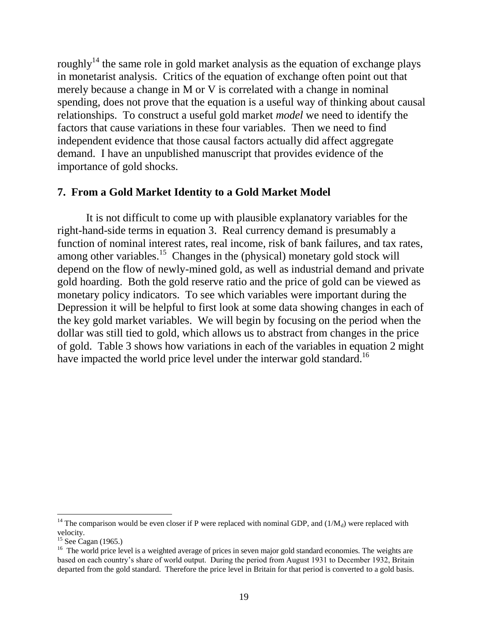roughly<sup>14</sup> the same role in gold market analysis as the equation of exchange plays in monetarist analysis. Critics of the equation of exchange often point out that merely because a change in M or V is correlated with a change in nominal spending, does not prove that the equation is a useful way of thinking about causal relationships. To construct a useful gold market *model* we need to identify the factors that cause variations in these four variables. Then we need to find independent evidence that those causal factors actually did affect aggregate demand. I have an unpublished manuscript that provides evidence of the importance of gold shocks.

### **7. From a Gold Market Identity to a Gold Market Model**

It is not difficult to come up with plausible explanatory variables for the right-hand-side terms in equation 3. Real currency demand is presumably a function of nominal interest rates, real income, risk of bank failures, and tax rates, among other variables.<sup>15</sup> Changes in the (physical) monetary gold stock will depend on the flow of newly-mined gold, as well as industrial demand and private gold hoarding. Both the gold reserve ratio and the price of gold can be viewed as monetary policy indicators. To see which variables were important during the Depression it will be helpful to first look at some data showing changes in each of the key gold market variables. We will begin by focusing on the period when the dollar was still tied to gold, which allows us to abstract from changes in the price of gold. Table 3 shows how variations in each of the variables in equation 2 might have impacted the world price level under the interwar gold standard.<sup>16</sup>

<sup>&</sup>lt;sup>14</sup> The comparison would be even closer if P were replaced with nominal GDP, and  $(1/M_d)$  were replaced with velocity.

 $15$  See Cagan (1965.)

<sup>&</sup>lt;sup>16</sup> The world price level is a weighted average of prices in seven major gold standard economies. The weights are based on each country"s share of world output. During the period from August 1931 to December 1932, Britain departed from the gold standard. Therefore the price level in Britain for that period is converted to a gold basis.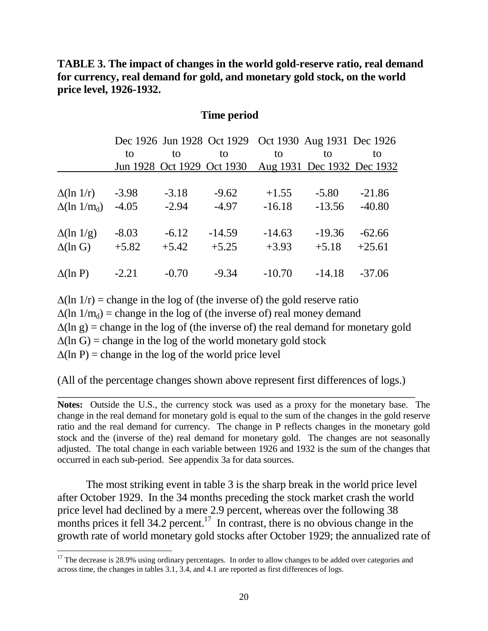# **TABLE 3. The impact of changes in the world gold-reserve ratio, real demand for currency, real demand for gold, and monetary gold stock, on the world price level, 1926-1932.**

#### **Time period**

|                     |         |         | Dec 1926 Jun 1928 Oct 1929 Oct 1930 Aug 1931 Dec 1926 |          |                            |          |
|---------------------|---------|---------|-------------------------------------------------------|----------|----------------------------|----------|
|                     | to      | to      | to                                                    | to       | to                         | to       |
|                     |         |         | Jun 1928 Oct 1929 Oct 1930                            |          | Aug 1931 Dec 1932 Dec 1932 |          |
|                     |         |         |                                                       |          |                            |          |
| $\Delta(\ln 1/r)$   | $-3.98$ | $-3.18$ | $-9.62$                                               | $+1.55$  | $-5.80$                    | $-21.86$ |
| $\Delta(\ln 1/m_d)$ | $-4.05$ | $-2.94$ | $-4.97$                                               | $-16.18$ | $-13.56$                   | $-40.80$ |
| $\Delta(\ln 1/g)$   | $-8.03$ | $-6.12$ | $-14.59$                                              | $-14.63$ | $-19.36$                   | $-62.66$ |
|                     | $+5.82$ | $+5.42$ | $+5.25$                                               | $+3.93$  | $+5.18$                    | $+25.61$ |
| $\Delta(\ln G)$     |         |         |                                                       |          |                            |          |
| $\Delta(\ln P)$     | $-2.21$ | $-0.70$ | $-9.34$                                               | $-10.70$ | $-14.18$                   | $-37.06$ |

 $\Delta$ (ln 1/r) = change in the log of (the inverse of) the gold reserve ratio  $\Delta(\ln 1/m_d)$  = change in the log of (the inverse of) real money demand  $\Delta(\ln g)$  = change in the log of (the inverse of) the real demand for monetary gold  $\Delta$ (ln G) = change in the log of the world monetary gold stock  $\Delta(\ln P)$  = change in the log of the world price level

(All of the percentage changes shown above represent first differences of logs.)

\_\_\_\_\_\_\_\_\_\_\_\_\_\_\_\_\_\_\_\_\_\_\_\_\_\_\_\_\_\_\_\_\_\_\_\_\_\_\_\_\_\_\_\_\_\_\_\_\_\_\_\_\_\_\_\_\_\_\_\_\_\_\_\_\_

**Notes:** Outside the U.S., the currency stock was used as a proxy for the monetary base. The change in the real demand for monetary gold is equal to the sum of the changes in the gold reserve ratio and the real demand for currency. The change in P reflects changes in the monetary gold stock and the (inverse of the) real demand for monetary gold. The changes are not seasonally adjusted. The total change in each variable between 1926 and 1932 is the sum of the changes that occurred in each sub-period. See appendix 3a for data sources.

The most striking event in table 3 is the sharp break in the world price level after October 1929. In the 34 months preceding the stock market crash the world price level had declined by a mere 2.9 percent, whereas over the following 38 months prices it fell  $34.2$  percent.<sup>17</sup> In contrast, there is no obvious change in the growth rate of world monetary gold stocks after October 1929; the annualized rate of

 $17$  The decrease is 28.9% using ordinary percentages. In order to allow changes to be added over categories and across time, the changes in tables 3.1, 3.4, and 4.1 are reported as first differences of logs.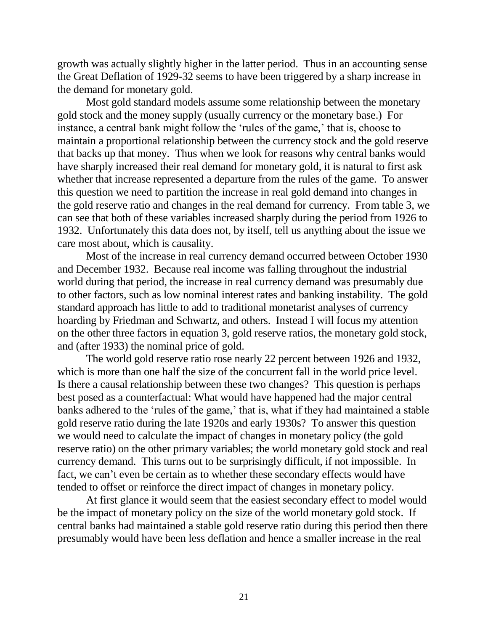growth was actually slightly higher in the latter period. Thus in an accounting sense the Great Deflation of 1929-32 seems to have been triggered by a sharp increase in the demand for monetary gold.

Most gold standard models assume some relationship between the monetary gold stock and the money supply (usually currency or the monetary base.) For instance, a central bank might follow the 'rules of the game,' that is, choose to maintain a proportional relationship between the currency stock and the gold reserve that backs up that money. Thus when we look for reasons why central banks would have sharply increased their real demand for monetary gold, it is natural to first ask whether that increase represented a departure from the rules of the game. To answer this question we need to partition the increase in real gold demand into changes in the gold reserve ratio and changes in the real demand for currency. From table 3, we can see that both of these variables increased sharply during the period from 1926 to 1932. Unfortunately this data does not, by itself, tell us anything about the issue we care most about, which is causality.

Most of the increase in real currency demand occurred between October 1930 and December 1932. Because real income was falling throughout the industrial world during that period, the increase in real currency demand was presumably due to other factors, such as low nominal interest rates and banking instability. The gold standard approach has little to add to traditional monetarist analyses of currency hoarding by Friedman and Schwartz, and others. Instead I will focus my attention on the other three factors in equation 3, gold reserve ratios, the monetary gold stock, and (after 1933) the nominal price of gold.

The world gold reserve ratio rose nearly 22 percent between 1926 and 1932, which is more than one half the size of the concurrent fall in the world price level. Is there a causal relationship between these two changes? This question is perhaps best posed as a counterfactual: What would have happened had the major central banks adhered to the 'rules of the game,' that is, what if they had maintained a stable gold reserve ratio during the late 1920s and early 1930s? To answer this question we would need to calculate the impact of changes in monetary policy (the gold reserve ratio) on the other primary variables; the world monetary gold stock and real currency demand. This turns out to be surprisingly difficult, if not impossible. In fact, we can't even be certain as to whether these secondary effects would have tended to offset or reinforce the direct impact of changes in monetary policy.

At first glance it would seem that the easiest secondary effect to model would be the impact of monetary policy on the size of the world monetary gold stock. If central banks had maintained a stable gold reserve ratio during this period then there presumably would have been less deflation and hence a smaller increase in the real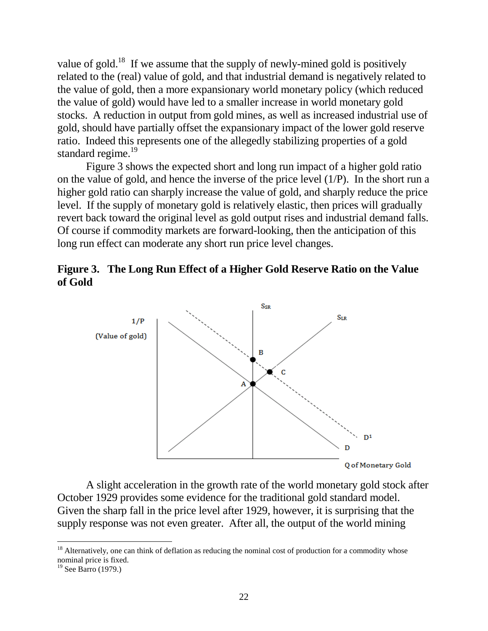value of gold.<sup>18</sup> If we assume that the supply of newly-mined gold is positively related to the (real) value of gold, and that industrial demand is negatively related to the value of gold, then a more expansionary world monetary policy (which reduced the value of gold) would have led to a smaller increase in world monetary gold stocks. A reduction in output from gold mines, as well as increased industrial use of gold, should have partially offset the expansionary impact of the lower gold reserve ratio. Indeed this represents one of the allegedly stabilizing properties of a gold standard regime.<sup>19</sup>

Figure 3 shows the expected short and long run impact of a higher gold ratio on the value of gold, and hence the inverse of the price level (1/P). In the short run a higher gold ratio can sharply increase the value of gold, and sharply reduce the price level. If the supply of monetary gold is relatively elastic, then prices will gradually revert back toward the original level as gold output rises and industrial demand falls. Of course if commodity markets are forward-looking, then the anticipation of this long run effect can moderate any short run price level changes.





A slight acceleration in the growth rate of the world monetary gold stock after October 1929 provides some evidence for the traditional gold standard model. Given the sharp fall in the price level after 1929, however, it is surprising that the supply response was not even greater. After all, the output of the world mining

<sup>&</sup>lt;sup>18</sup> Alternatively, one can think of deflation as reducing the nominal cost of production for a commodity whose nominal price is fixed.

 $19$  See Barro (1979.)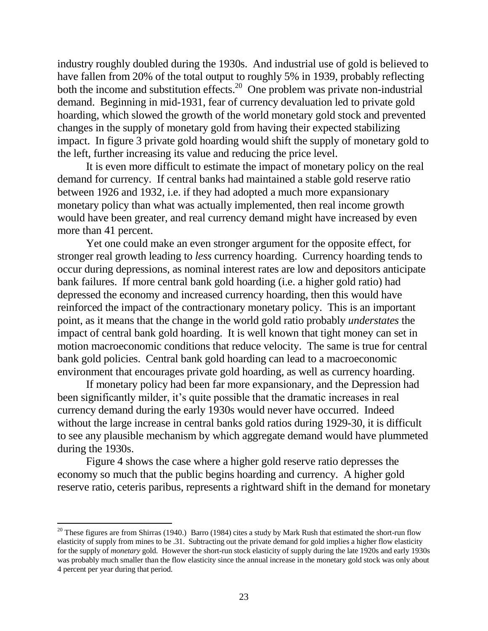industry roughly doubled during the 1930s. And industrial use of gold is believed to have fallen from 20% of the total output to roughly 5% in 1939, probably reflecting both the income and substitution effects.<sup>20</sup> One problem was private non-industrial demand. Beginning in mid-1931, fear of currency devaluation led to private gold hoarding, which slowed the growth of the world monetary gold stock and prevented changes in the supply of monetary gold from having their expected stabilizing impact. In figure 3 private gold hoarding would shift the supply of monetary gold to the left, further increasing its value and reducing the price level.

It is even more difficult to estimate the impact of monetary policy on the real demand for currency. If central banks had maintained a stable gold reserve ratio between 1926 and 1932, i.e. if they had adopted a much more expansionary monetary policy than what was actually implemented, then real income growth would have been greater, and real currency demand might have increased by even more than 41 percent.

Yet one could make an even stronger argument for the opposite effect, for stronger real growth leading to *less* currency hoarding. Currency hoarding tends to occur during depressions, as nominal interest rates are low and depositors anticipate bank failures. If more central bank gold hoarding (i.e. a higher gold ratio) had depressed the economy and increased currency hoarding, then this would have reinforced the impact of the contractionary monetary policy. This is an important point, as it means that the change in the world gold ratio probably *understates* the impact of central bank gold hoarding. It is well known that tight money can set in motion macroeconomic conditions that reduce velocity. The same is true for central bank gold policies. Central bank gold hoarding can lead to a macroeconomic environment that encourages private gold hoarding, as well as currency hoarding.

If monetary policy had been far more expansionary, and the Depression had been significantly milder, it's quite possible that the dramatic increases in real currency demand during the early 1930s would never have occurred. Indeed without the large increase in central banks gold ratios during 1929-30, it is difficult to see any plausible mechanism by which aggregate demand would have plummeted during the 1930s.

Figure 4 shows the case where a higher gold reserve ratio depresses the economy so much that the public begins hoarding and currency. A higher gold reserve ratio, ceteris paribus, represents a rightward shift in the demand for monetary

<sup>&</sup>lt;sup>20</sup> These figures are from Shirras (1940.) Barro (1984) cites a study by Mark Rush that estimated the short-run flow elasticity of supply from mines to be .31. Subtracting out the private demand for gold implies a higher flow elasticity for the supply of *monetary* gold. However the short-run stock elasticity of supply during the late 1920s and early 1930s was probably much smaller than the flow elasticity since the annual increase in the monetary gold stock was only about 4 percent per year during that period.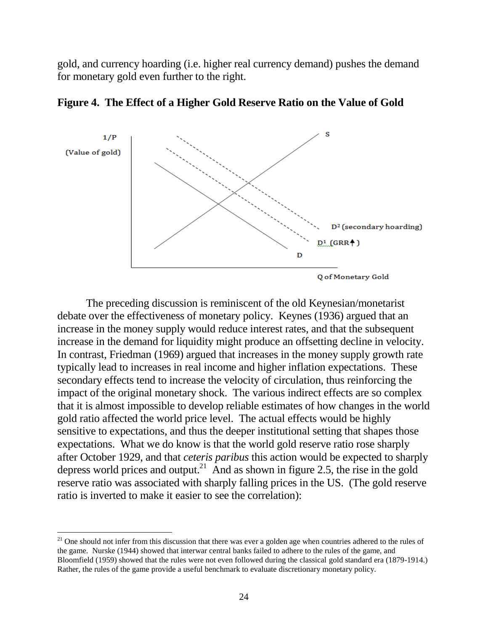gold, and currency hoarding (i.e. higher real currency demand) pushes the demand for monetary gold even further to the right.





The preceding discussion is reminiscent of the old Keynesian/monetarist debate over the effectiveness of monetary policy. Keynes (1936) argued that an increase in the money supply would reduce interest rates, and that the subsequent increase in the demand for liquidity might produce an offsetting decline in velocity. In contrast, Friedman (1969) argued that increases in the money supply growth rate typically lead to increases in real income and higher inflation expectations. These secondary effects tend to increase the velocity of circulation, thus reinforcing the impact of the original monetary shock. The various indirect effects are so complex that it is almost impossible to develop reliable estimates of how changes in the world gold ratio affected the world price level. The actual effects would be highly sensitive to expectations, and thus the deeper institutional setting that shapes those expectations. What we do know is that the world gold reserve ratio rose sharply after October 1929, and that *ceteris paribus* this action would be expected to sharply depress world prices and output.<sup>21</sup> And as shown in figure 2.5, the rise in the gold reserve ratio was associated with sharply falling prices in the US. (The gold reserve ratio is inverted to make it easier to see the correlation):

 $21$  One should not infer from this discussion that there was ever a golden age when countries adhered to the rules of the game. Nurske (1944) showed that interwar central banks failed to adhere to the rules of the game, and Bloomfield (1959) showed that the rules were not even followed during the classical gold standard era (1879-1914.) Rather, the rules of the game provide a useful benchmark to evaluate discretionary monetary policy.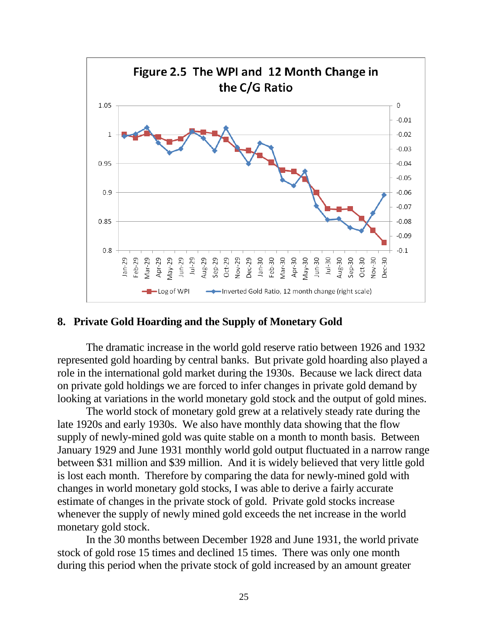

### **8. Private Gold Hoarding and the Supply of Monetary Gold**

The dramatic increase in the world gold reserve ratio between 1926 and 1932 represented gold hoarding by central banks. But private gold hoarding also played a role in the international gold market during the 1930s. Because we lack direct data on private gold holdings we are forced to infer changes in private gold demand by looking at variations in the world monetary gold stock and the output of gold mines.

The world stock of monetary gold grew at a relatively steady rate during the late 1920s and early 1930s. We also have monthly data showing that the flow supply of newly-mined gold was quite stable on a month to month basis. Between January 1929 and June 1931 monthly world gold output fluctuated in a narrow range between \$31 million and \$39 million. And it is widely believed that very little gold is lost each month. Therefore by comparing the data for newly-mined gold with changes in world monetary gold stocks, I was able to derive a fairly accurate estimate of changes in the private stock of gold. Private gold stocks increase whenever the supply of newly mined gold exceeds the net increase in the world monetary gold stock.

In the 30 months between December 1928 and June 1931, the world private stock of gold rose 15 times and declined 15 times. There was only one month during this period when the private stock of gold increased by an amount greater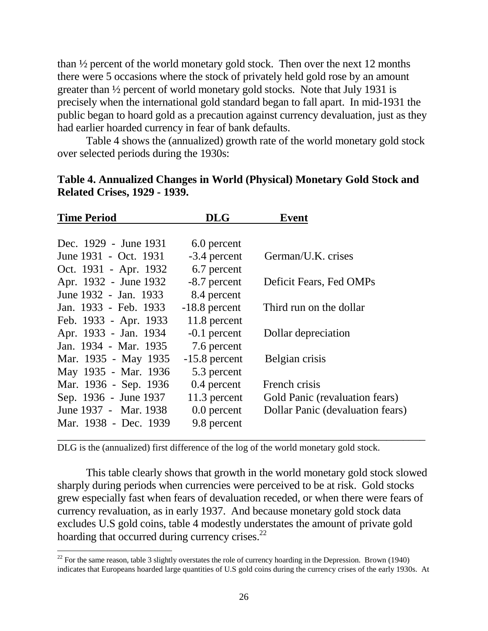than ½ percent of the world monetary gold stock. Then over the next 12 months there were 5 occasions where the stock of privately held gold rose by an amount greater than ½ percent of world monetary gold stocks. Note that July 1931 is precisely when the international gold standard began to fall apart. In mid-1931 the public began to hoard gold as a precaution against currency devaluation, just as they had earlier hoarded currency in fear of bank defaults.

Table 4 shows the (annualized) growth rate of the world monetary gold stock over selected periods during the 1930s:

| <b>Time Period</b>    | <b>DLG</b>      | <b>Event</b>                     |
|-----------------------|-----------------|----------------------------------|
|                       |                 |                                  |
| Dec. 1929 - June 1931 | 6.0 percent     |                                  |
| June 1931 - Oct. 1931 | -3.4 percent    | German/U.K. crises               |
| Oct. 1931 - Apr. 1932 | 6.7 percent     |                                  |
| Apr. 1932 - June 1932 | -8.7 percent    | Deficit Fears, Fed OMPs          |
| June 1932 - Jan. 1933 | 8.4 percent     |                                  |
| Jan. 1933 - Feb. 1933 | $-18.8$ percent | Third run on the dollar          |
| Feb. 1933 - Apr. 1933 | 11.8 percent    |                                  |
| Apr. 1933 - Jan. 1934 | $-0.1$ percent  | Dollar depreciation              |
| Jan. 1934 - Mar. 1935 | 7.6 percent     |                                  |
| Mar. 1935 - May 1935  | $-15.8$ percent | Belgian crisis                   |
| May 1935 - Mar. 1936  | 5.3 percent     |                                  |
| Mar. 1936 - Sep. 1936 | 0.4 percent     | French crisis                    |
| Sep. 1936 - June 1937 | 11.3 percent    | Gold Panic (revaluation fears)   |
| June 1937 - Mar. 1938 | $0.0$ percent   | Dollar Panic (devaluation fears) |
| Mar. 1938 - Dec. 1939 | 9.8 percent     |                                  |
|                       |                 |                                  |

| Table 4. Annualized Changes in World (Physical) Monetary Gold Stock and |  |  |  |
|-------------------------------------------------------------------------|--|--|--|
| <b>Related Crises, 1929 - 1939.</b>                                     |  |  |  |

DLG is the (annualized) first difference of the log of the world monetary gold stock.

 $\overline{a}$ 

This table clearly shows that growth in the world monetary gold stock slowed sharply during periods when currencies were perceived to be at risk. Gold stocks grew especially fast when fears of devaluation receded, or when there were fears of currency revaluation, as in early 1937. And because monetary gold stock data excludes U.S gold coins, table 4 modestly understates the amount of private gold hoarding that occurred during currency crises.<sup>22</sup>

<sup>&</sup>lt;sup>22</sup> For the same reason, table 3 slightly overstates the role of currency hoarding in the Depression. Brown (1940) indicates that Europeans hoarded large quantities of U.S gold coins during the currency crises of the early 1930s. At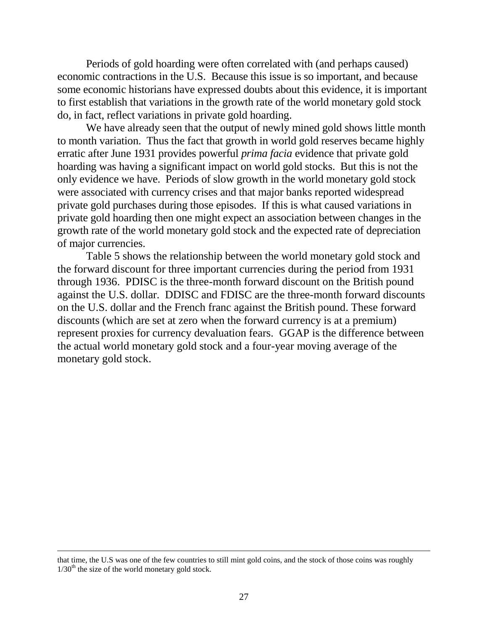Periods of gold hoarding were often correlated with (and perhaps caused) economic contractions in the U.S. Because this issue is so important, and because some economic historians have expressed doubts about this evidence, it is important to first establish that variations in the growth rate of the world monetary gold stock do, in fact, reflect variations in private gold hoarding.

We have already seen that the output of newly mined gold shows little month to month variation. Thus the fact that growth in world gold reserves became highly erratic after June 1931 provides powerful *prima facia* evidence that private gold hoarding was having a significant impact on world gold stocks. But this is not the only evidence we have. Periods of slow growth in the world monetary gold stock were associated with currency crises and that major banks reported widespread private gold purchases during those episodes. If this is what caused variations in private gold hoarding then one might expect an association between changes in the growth rate of the world monetary gold stock and the expected rate of depreciation of major currencies.

Table 5 shows the relationship between the world monetary gold stock and the forward discount for three important currencies during the period from 1931 through 1936. PDISC is the three-month forward discount on the British pound against the U.S. dollar. DDISC and FDISC are the three-month forward discounts on the U.S. dollar and the French franc against the British pound. These forward discounts (which are set at zero when the forward currency is at a premium) represent proxies for currency devaluation fears. GGAP is the difference between the actual world monetary gold stock and a four-year moving average of the monetary gold stock.

that time, the U.S was one of the few countries to still mint gold coins, and the stock of those coins was roughly  $1/30<sup>th</sup>$  the size of the world monetary gold stock.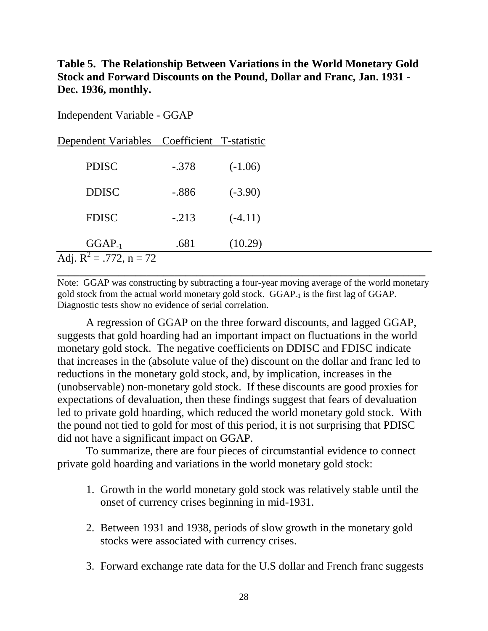# **Table 5. The Relationship Between Variations in the World Monetary Gold Stock and Forward Discounts on the Pound, Dollar and Franc, Jan. 1931 - Dec. 1936, monthly.**

| Independent Variable - GGAP |  |  |
|-----------------------------|--|--|
|-----------------------------|--|--|

| Dependent Variables Coefficient T-statistic |          |           |  |  |
|---------------------------------------------|----------|-----------|--|--|
| <b>PDISC</b>                                | $-.378$  | $(-1.06)$ |  |  |
| <b>DDISC</b>                                | $-0.886$ | $(-3.90)$ |  |  |
| <b>FDISC</b>                                | $-.213$  | $(-4.11)$ |  |  |
| $GGAP_{-1}$                                 | .681     | (10.29)   |  |  |
| Adj. $R^2 = .772$ , n = 72                  |          |           |  |  |

Note: GGAP was constructing by subtracting a four-year moving average of the world monetary gold stock from the actual world monetary gold stock. GGAP-1 is the first lag of GGAP. Diagnostic tests show no evidence of serial correlation.

A regression of GGAP on the three forward discounts, and lagged GGAP, suggests that gold hoarding had an important impact on fluctuations in the world monetary gold stock. The negative coefficients on DDISC and FDISC indicate that increases in the (absolute value of the) discount on the dollar and franc led to reductions in the monetary gold stock, and, by implication, increases in the (unobservable) non-monetary gold stock. If these discounts are good proxies for expectations of devaluation, then these findings suggest that fears of devaluation led to private gold hoarding, which reduced the world monetary gold stock. With the pound not tied to gold for most of this period, it is not surprising that PDISC did not have a significant impact on GGAP.

To summarize, there are four pieces of circumstantial evidence to connect private gold hoarding and variations in the world monetary gold stock:

- 1. Growth in the world monetary gold stock was relatively stable until the onset of currency crises beginning in mid-1931.
- 2. Between 1931 and 1938, periods of slow growth in the monetary gold stocks were associated with currency crises.
- 3. Forward exchange rate data for the U.S dollar and French franc suggests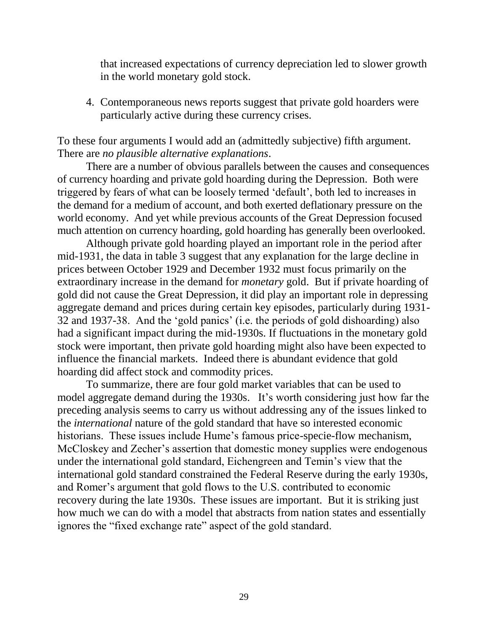that increased expectations of currency depreciation led to slower growth in the world monetary gold stock.

4. Contemporaneous news reports suggest that private gold hoarders were particularly active during these currency crises.

To these four arguments I would add an (admittedly subjective) fifth argument. There are *no plausible alternative explanations*.

There are a number of obvious parallels between the causes and consequences of currency hoarding and private gold hoarding during the Depression. Both were triggered by fears of what can be loosely termed "default", both led to increases in the demand for a medium of account, and both exerted deflationary pressure on the world economy. And yet while previous accounts of the Great Depression focused much attention on currency hoarding, gold hoarding has generally been overlooked.

Although private gold hoarding played an important role in the period after mid-1931, the data in table 3 suggest that any explanation for the large decline in prices between October 1929 and December 1932 must focus primarily on the extraordinary increase in the demand for *monetary* gold. But if private hoarding of gold did not cause the Great Depression, it did play an important role in depressing aggregate demand and prices during certain key episodes, particularly during 1931- 32 and 1937-38. And the "gold panics" (i.e. the periods of gold dishoarding) also had a significant impact during the mid-1930s. If fluctuations in the monetary gold stock were important, then private gold hoarding might also have been expected to influence the financial markets. Indeed there is abundant evidence that gold hoarding did affect stock and commodity prices.

To summarize, there are four gold market variables that can be used to model aggregate demand during the 1930s. It's worth considering just how far the preceding analysis seems to carry us without addressing any of the issues linked to the *international* nature of the gold standard that have so interested economic historians. These issues include Hume's famous price-specie-flow mechanism, McCloskey and Zecher's assertion that domestic money supplies were endogenous under the international gold standard, Eichengreen and Temin"s view that the international gold standard constrained the Federal Reserve during the early 1930s, and Romer"s argument that gold flows to the U.S. contributed to economic recovery during the late 1930s. These issues are important. But it is striking just how much we can do with a model that abstracts from nation states and essentially ignores the "fixed exchange rate" aspect of the gold standard.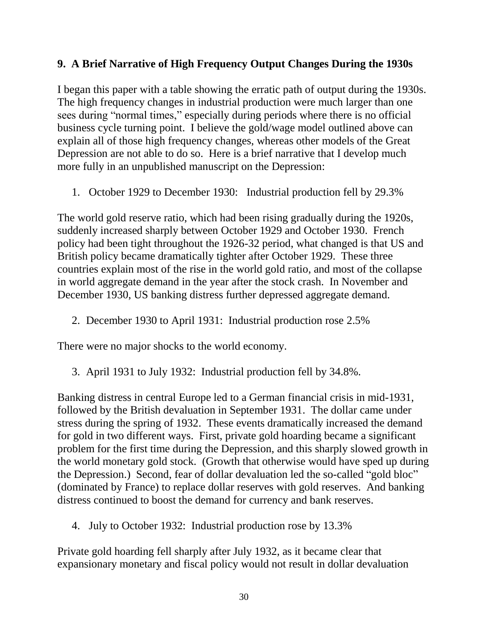# **9. A Brief Narrative of High Frequency Output Changes During the 1930s**

I began this paper with a table showing the erratic path of output during the 1930s. The high frequency changes in industrial production were much larger than one sees during "normal times," especially during periods where there is no official business cycle turning point. I believe the gold/wage model outlined above can explain all of those high frequency changes, whereas other models of the Great Depression are not able to do so. Here is a brief narrative that I develop much more fully in an unpublished manuscript on the Depression:

1. October 1929 to December 1930: Industrial production fell by 29.3%

The world gold reserve ratio, which had been rising gradually during the 1920s, suddenly increased sharply between October 1929 and October 1930. French policy had been tight throughout the 1926-32 period, what changed is that US and British policy became dramatically tighter after October 1929. These three countries explain most of the rise in the world gold ratio, and most of the collapse in world aggregate demand in the year after the stock crash. In November and December 1930, US banking distress further depressed aggregate demand.

2. December 1930 to April 1931: Industrial production rose 2.5%

There were no major shocks to the world economy.

3. April 1931 to July 1932: Industrial production fell by 34.8%.

Banking distress in central Europe led to a German financial crisis in mid-1931, followed by the British devaluation in September 1931. The dollar came under stress during the spring of 1932. These events dramatically increased the demand for gold in two different ways. First, private gold hoarding became a significant problem for the first time during the Depression, and this sharply slowed growth in the world monetary gold stock. (Growth that otherwise would have sped up during the Depression.) Second, fear of dollar devaluation led the so-called "gold bloc" (dominated by France) to replace dollar reserves with gold reserves. And banking distress continued to boost the demand for currency and bank reserves.

4. July to October 1932: Industrial production rose by 13.3%

Private gold hoarding fell sharply after July 1932, as it became clear that expansionary monetary and fiscal policy would not result in dollar devaluation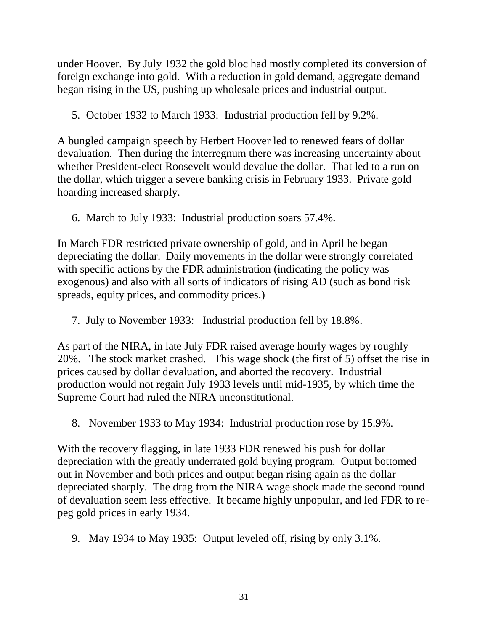under Hoover. By July 1932 the gold bloc had mostly completed its conversion of foreign exchange into gold. With a reduction in gold demand, aggregate demand began rising in the US, pushing up wholesale prices and industrial output.

5. October 1932 to March 1933: Industrial production fell by 9.2%.

A bungled campaign speech by Herbert Hoover led to renewed fears of dollar devaluation. Then during the interregnum there was increasing uncertainty about whether President-elect Roosevelt would devalue the dollar. That led to a run on the dollar, which trigger a severe banking crisis in February 1933. Private gold hoarding increased sharply.

6. March to July 1933: Industrial production soars 57.4%.

In March FDR restricted private ownership of gold, and in April he began depreciating the dollar. Daily movements in the dollar were strongly correlated with specific actions by the FDR administration (indicating the policy was exogenous) and also with all sorts of indicators of rising AD (such as bond risk spreads, equity prices, and commodity prices.)

7. July to November 1933: Industrial production fell by 18.8%.

As part of the NIRA, in late July FDR raised average hourly wages by roughly 20%. The stock market crashed. This wage shock (the first of 5) offset the rise in prices caused by dollar devaluation, and aborted the recovery. Industrial production would not regain July 1933 levels until mid-1935, by which time the Supreme Court had ruled the NIRA unconstitutional.

8. November 1933 to May 1934: Industrial production rose by 15.9%.

With the recovery flagging, in late 1933 FDR renewed his push for dollar depreciation with the greatly underrated gold buying program. Output bottomed out in November and both prices and output began rising again as the dollar depreciated sharply. The drag from the NIRA wage shock made the second round of devaluation seem less effective. It became highly unpopular, and led FDR to repeg gold prices in early 1934.

9. May 1934 to May 1935: Output leveled off, rising by only 3.1%.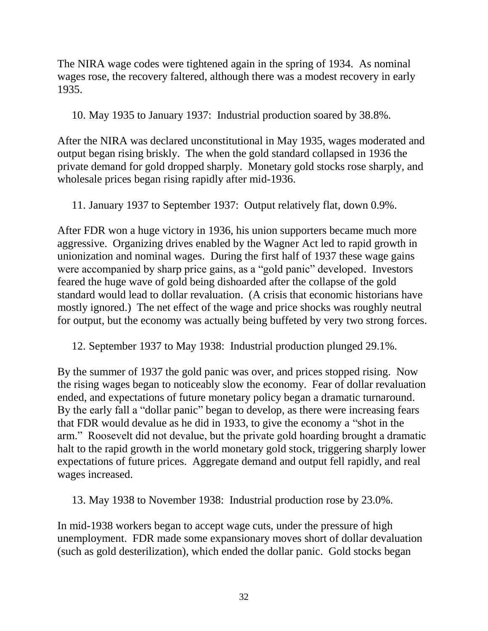The NIRA wage codes were tightened again in the spring of 1934. As nominal wages rose, the recovery faltered, although there was a modest recovery in early 1935.

10. May 1935 to January 1937: Industrial production soared by 38.8%.

After the NIRA was declared unconstitutional in May 1935, wages moderated and output began rising briskly. The when the gold standard collapsed in 1936 the private demand for gold dropped sharply. Monetary gold stocks rose sharply, and wholesale prices began rising rapidly after mid-1936.

11. January 1937 to September 1937: Output relatively flat, down 0.9%.

After FDR won a huge victory in 1936, his union supporters became much more aggressive. Organizing drives enabled by the Wagner Act led to rapid growth in unionization and nominal wages. During the first half of 1937 these wage gains were accompanied by sharp price gains, as a "gold panic" developed. Investors feared the huge wave of gold being dishoarded after the collapse of the gold standard would lead to dollar revaluation. (A crisis that economic historians have mostly ignored.) The net effect of the wage and price shocks was roughly neutral for output, but the economy was actually being buffeted by very two strong forces.

12. September 1937 to May 1938: Industrial production plunged 29.1%.

By the summer of 1937 the gold panic was over, and prices stopped rising. Now the rising wages began to noticeably slow the economy. Fear of dollar revaluation ended, and expectations of future monetary policy began a dramatic turnaround. By the early fall a "dollar panic" began to develop, as there were increasing fears that FDR would devalue as he did in 1933, to give the economy a "shot in the arm." Roosevelt did not devalue, but the private gold hoarding brought a dramatic halt to the rapid growth in the world monetary gold stock, triggering sharply lower expectations of future prices. Aggregate demand and output fell rapidly, and real wages increased.

13. May 1938 to November 1938: Industrial production rose by 23.0%.

In mid-1938 workers began to accept wage cuts, under the pressure of high unemployment. FDR made some expansionary moves short of dollar devaluation (such as gold desterilization), which ended the dollar panic. Gold stocks began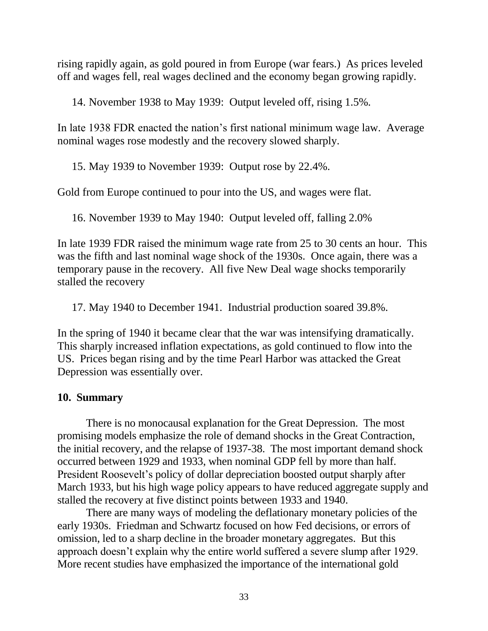rising rapidly again, as gold poured in from Europe (war fears.) As prices leveled off and wages fell, real wages declined and the economy began growing rapidly.

14. November 1938 to May 1939: Output leveled off, rising 1.5%.

In late 1938 FDR enacted the nation"s first national minimum wage law. Average nominal wages rose modestly and the recovery slowed sharply.

15. May 1939 to November 1939: Output rose by 22.4%.

Gold from Europe continued to pour into the US, and wages were flat.

16. November 1939 to May 1940: Output leveled off, falling 2.0%

In late 1939 FDR raised the minimum wage rate from 25 to 30 cents an hour. This was the fifth and last nominal wage shock of the 1930s. Once again, there was a temporary pause in the recovery. All five New Deal wage shocks temporarily stalled the recovery

17. May 1940 to December 1941. Industrial production soared 39.8%.

In the spring of 1940 it became clear that the war was intensifying dramatically. This sharply increased inflation expectations, as gold continued to flow into the US. Prices began rising and by the time Pearl Harbor was attacked the Great Depression was essentially over.

### **10. Summary**

There is no monocausal explanation for the Great Depression. The most promising models emphasize the role of demand shocks in the Great Contraction, the initial recovery, and the relapse of 1937-38. The most important demand shock occurred between 1929 and 1933, when nominal GDP fell by more than half. President Roosevelt"s policy of dollar depreciation boosted output sharply after March 1933, but his high wage policy appears to have reduced aggregate supply and stalled the recovery at five distinct points between 1933 and 1940.

There are many ways of modeling the deflationary monetary policies of the early 1930s. Friedman and Schwartz focused on how Fed decisions, or errors of omission, led to a sharp decline in the broader monetary aggregates. But this approach doesn"t explain why the entire world suffered a severe slump after 1929. More recent studies have emphasized the importance of the international gold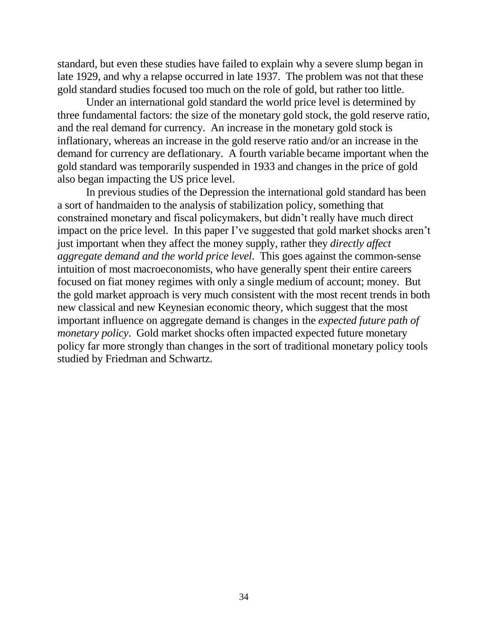standard, but even these studies have failed to explain why a severe slump began in late 1929, and why a relapse occurred in late 1937. The problem was not that these gold standard studies focused too much on the role of gold, but rather too little.

Under an international gold standard the world price level is determined by three fundamental factors: the size of the monetary gold stock, the gold reserve ratio, and the real demand for currency. An increase in the monetary gold stock is inflationary, whereas an increase in the gold reserve ratio and/or an increase in the demand for currency are deflationary. A fourth variable became important when the gold standard was temporarily suspended in 1933 and changes in the price of gold also began impacting the US price level.

In previous studies of the Depression the international gold standard has been a sort of handmaiden to the analysis of stabilization policy, something that constrained monetary and fiscal policymakers, but didn"t really have much direct impact on the price level. In this paper I've suggested that gold market shocks aren't just important when they affect the money supply, rather they *directly affect aggregate demand and the world price level*. This goes against the common-sense intuition of most macroeconomists, who have generally spent their entire careers focused on fiat money regimes with only a single medium of account; money. But the gold market approach is very much consistent with the most recent trends in both new classical and new Keynesian economic theory, which suggest that the most important influence on aggregate demand is changes in the *expected future path of monetary policy*. Gold market shocks often impacted expected future monetary policy far more strongly than changes in the sort of traditional monetary policy tools studied by Friedman and Schwartz.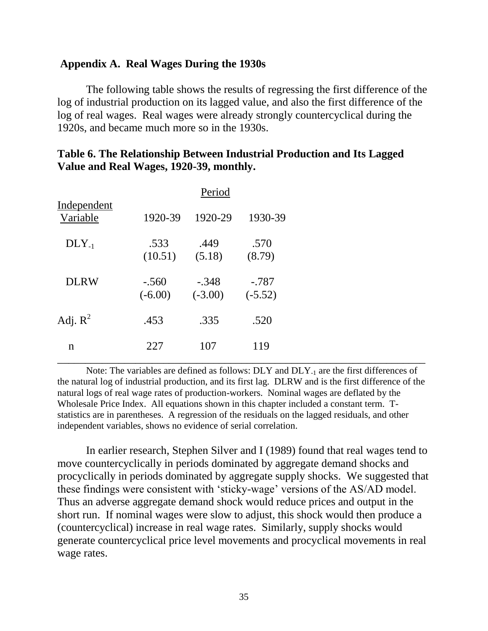#### **Appendix A. Real Wages During the 1930s**

The following table shows the results of regressing the first difference of the log of industrial production on its lagged value, and also the first difference of the log of real wages. Real wages were already strongly countercyclical during the 1920s, and became much more so in the 1930s.

|                         |                      | Period               |                      |  |
|-------------------------|----------------------|----------------------|----------------------|--|
| Independent<br>Variable | 1920-39              | 1920-29              | 1930-39              |  |
| $DLY_{-1}$              | .533<br>(10.51)      | .449<br>(5.18)       | .570<br>(8.79)       |  |
| <b>DLRW</b>             | $-.560$<br>$(-6.00)$ | $-.348$<br>$(-3.00)$ | $-.787$<br>$(-5.52)$ |  |
| Adj. $R^2$              | .453                 | .335                 | .520                 |  |
| $\mathbf n$             | 227                  | 107                  | 119                  |  |

# **Table 6. The Relationship Between Industrial Production and Its Lagged Value and Real Wages, 1920-39, monthly.**

Note: The variables are defined as follows: DLY and DLY<sub>-1</sub> are the first differences of the natural log of industrial production, and its first lag. DLRW and is the first difference of the natural logs of real wage rates of production-workers. Nominal wages are deflated by the Wholesale Price Index. All equations shown in this chapter included a constant term. Tstatistics are in parentheses. A regression of the residuals on the lagged residuals, and other independent variables, shows no evidence of serial correlation.

In earlier research, Stephen Silver and I (1989) found that real wages tend to move countercyclically in periods dominated by aggregate demand shocks and procyclically in periods dominated by aggregate supply shocks. We suggested that these findings were consistent with 'sticky-wage' versions of the AS/AD model. Thus an adverse aggregate demand shock would reduce prices and output in the short run. If nominal wages were slow to adjust, this shock would then produce a (countercyclical) increase in real wage rates. Similarly, supply shocks would generate countercyclical price level movements and procyclical movements in real wage rates.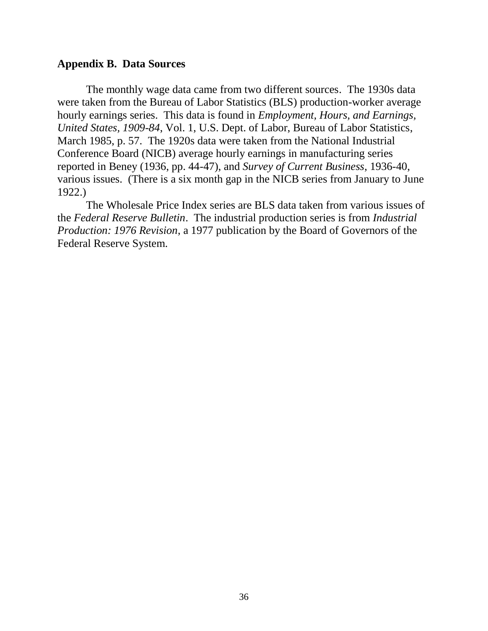### **Appendix B. Data Sources**

The monthly wage data came from two different sources. The 1930s data were taken from the Bureau of Labor Statistics (BLS) production-worker average hourly earnings series. This data is found in *Employment, Hours, and Earnings, United States, 1909-84*, Vol. 1, U.S. Dept. of Labor, Bureau of Labor Statistics, March 1985, p. 57. The 1920s data were taken from the National Industrial Conference Board (NICB) average hourly earnings in manufacturing series reported in Beney (1936, pp. 44-47), and *Survey of Current Business*, 1936-40, various issues. (There is a six month gap in the NICB series from January to June 1922.)

The Wholesale Price Index series are BLS data taken from various issues of the *Federal Reserve Bulletin*. The industrial production series is from *Industrial Production: 1976 Revision*, a 1977 publication by the Board of Governors of the Federal Reserve System.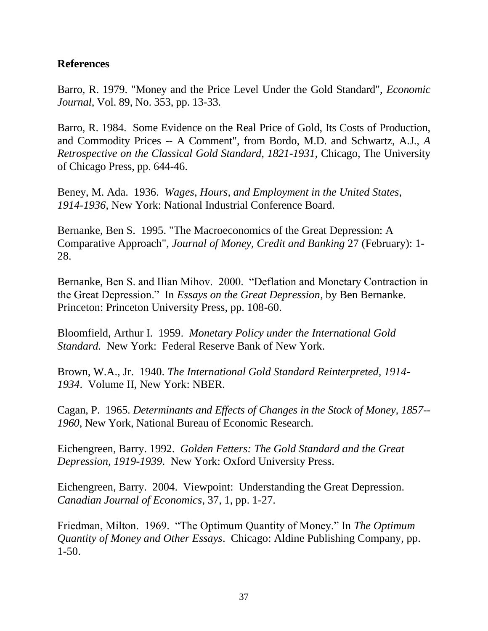## **References**

Barro, R. 1979. "Money and the Price Level Under the Gold Standard", *Economic Journal*, Vol. 89, No. 353, pp. 13-33.

Barro, R. 1984. Some Evidence on the Real Price of Gold, Its Costs of Production, and Commodity Prices -- A Comment", from Bordo, M.D. and Schwartz, A.J., *A Retrospective on the Classical Gold Standard, 1821-1931*, Chicago, The University of Chicago Press, pp. 644-46.

Beney, M. Ada. 1936. *Wages, Hours, and Employment in the United States, 1914-1936*, New York: National Industrial Conference Board.

Bernanke, Ben S. 1995. "The Macroeconomics of the Great Depression: A Comparative Approach", *Journal of Money, Credit and Banking* 27 (February): 1- 28.

Bernanke, Ben S. and Ilian Mihov. 2000. "Deflation and Monetary Contraction in the Great Depression." In *Essays on the Great Depression,* by Ben Bernanke. Princeton: Princeton University Press, pp. 108-60.

Bloomfield, Arthur I. 1959. *Monetary Policy under the International Gold Standard.* New York: Federal Reserve Bank of New York.

Brown, W.A., Jr. 1940. *The International Gold Standard Reinterpreted, 1914- 1934*. Volume II, New York: NBER.

Cagan, P. 1965. *Determinants and Effects of Changes in the Stock of Money, 1857-- 1960*, New York, National Bureau of Economic Research.

Eichengreen, Barry. 1992. *Golden Fetters: The Gold Standard and the Great Depression, 1919-1939*. New York: Oxford University Press.

Eichengreen, Barry. 2004. Viewpoint: Understanding the Great Depression. *Canadian Journal of Economics*, 37, 1, pp. 1-27.

Friedman, Milton. 1969. "The Optimum Quantity of Money." In *The Optimum Quantity of Money and Other Essays*. Chicago: Aldine Publishing Company, pp. 1-50.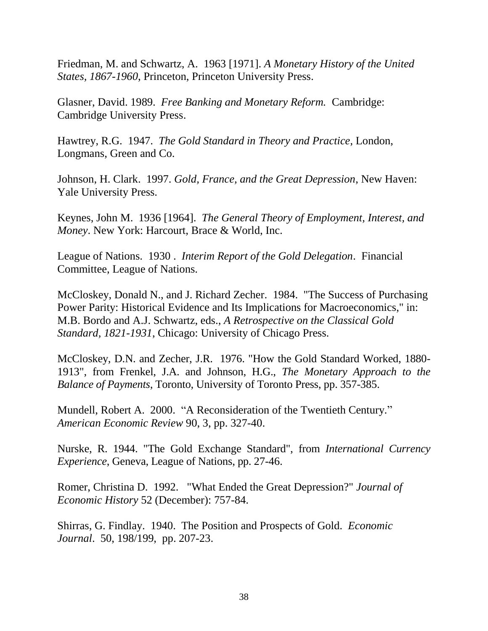Friedman, M. and Schwartz, A. 1963 [1971]. *A Monetary History of the United States, 1867-1960*, Princeton, Princeton University Press.

Glasner, David. 1989. *Free Banking and Monetary Reform.* Cambridge: Cambridge University Press.

Hawtrey, R.G. 1947. *The Gold Standard in Theory and Practice*, London, Longmans, Green and Co.

Johnson, H. Clark. 1997. *Gold, France, and the Great Depression*, New Haven: Yale University Press.

Keynes, John M. 1936 [1964]. *The General Theory of Employment, Interest, and Money*. New York: Harcourt, Brace & World, Inc.

League of Nations. 1930 . *Interim Report of the Gold Delegation*. Financial Committee, League of Nations.

McCloskey, Donald N., and J. Richard Zecher. 1984. "The Success of Purchasing Power Parity: Historical Evidence and Its Implications for Macroeconomics," in: M.B. Bordo and A.J. Schwartz, eds., *A Retrospective on the Classical Gold Standard, 1821-1931*, Chicago: University of Chicago Press.

McCloskey, D.N. and Zecher, J.R. 1976. "How the Gold Standard Worked, 1880- 1913", from Frenkel, J.A. and Johnson, H.G., *The Monetary Approach to the Balance of Payments*, Toronto, University of Toronto Press, pp. 357-385.

Mundell, Robert A. 2000. "A Reconsideration of the Twentieth Century." *American Economic Review* 90, 3, pp. 327-40.

Nurske, R. 1944. "The Gold Exchange Standard", from *International Currency Experience*, Geneva, League of Nations, pp. 27-46.

Romer, Christina D. 1992. "What Ended the Great Depression?" *Journal of Economic History* 52 (December): 757-84.

Shirras, G. Findlay. 1940. The Position and Prospects of Gold. *Economic Journal*. 50, 198/199, pp. 207-23.